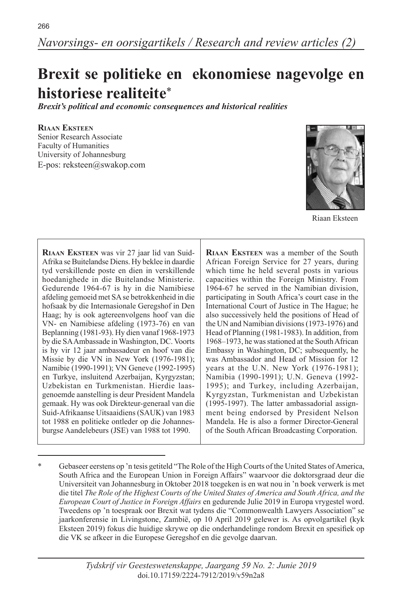# **Brexit se politieke en ekonomiese nagevolge en historiese realiteite**\*

*Brexit's political and economic consequences and historical realities*

## **Riaan Eksteen**

Senior Research Associate Faculty of Humanities University of Johannesburg E-pos: reksteen@swakop.com



Riaan Eksteen

**Riaan Eksteen** was vir 27 jaar lid van Suid-Afrika se Buitelandse Diens. Hy beklee in daardie tyd verskillende poste en dien in verskillende hoedanighede in die Buitelandse Ministerie. Gedurende 1964-67 is hy in die Namibiese afdeling gemoeid met SA se betrokkenheid in die hofsaak by die Internasionale Geregshof in Den Haag; hy is ook agtereenvolgens hoof van die VN- en Namibiese afdeling (1973-76) en van Beplanning (1981-93). Hy dien vanaf 1968-1973 by die SA Ambassade in Washington, DC. Voorts is hy vir 12 jaar ambassadeur en hoof van die Missie by die VN in New York (1976-1981); Namibie (1990-1991); VN Geneve (1992-1995) en Turkye, insluitend Azerbaijan, Kyrgyzstan; Uzbekistan en Turkmenistan. Hierdie laasgenoemde aanstelling is deur President Mandela gemaak. Hy was ook Direkteur-generaal van die Suid-Afrikaanse Uitsaaidiens (SAUK) van 1983 tot 1988 en politieke ontleder op die Johannesburgse Aandelebeurs (JSE) van 1988 tot 1990.

**Riaan Eksteen** was a member of the South African Foreign Service for 27 years, during which time he held several posts in various capacities within the Foreign Ministry. From 1964-67 he served in the Namibian division, participating in South Africa's court case in the International Court of Justice in The Hague; he also successively held the positions of Head of the UN and Namibian divisions (1973-1976) and Head of Planning (1981-1983). In addition, from 1968–1973, he was stationed at the South African Embassy in Washington, DC; subsequently, he was Ambassador and Head of Mission for 12 years at the U.N. New York (1976-1981); Namibia (1990-1991); U.N. Geneva (1992- 1995); and Turkey, including Azerbaijan, Kyrgyzstan, Turkmenistan and Uzbekistan (1995-1997). The latter ambassadorial assignment being endorsed by President Nelson Mandela. He is also a former Director-General of the South African Broadcasting Corporation.

Gebaseer eerstens op 'n tesis getiteld "The Role of the High Courts of the United States of America, South Africa and the European Union in Foreign Affairs" waarvoor die doktorsgraad deur die Universiteit van Johannesburg in Oktober 2018 toegeken is en wat nou in 'n boek verwerk is met die titel *The Role of the Highest Courts of the United States of America and South Africa, and the European Court of Justice in Foreign Affairs* en gedurende Julie 2019 in Europa vrygestel word. Tweedens op 'n toespraak oor Brexit wat tydens die "Commonwealth Lawyers Association" se jaarkonferensie in Livingstone, Zambië, op 10 April 2019 gelewer is. As opvolgartikel (kyk Eksteen 2019) fokus die huidige skrywe op die onderhandelinge rondom Brexit en spesifiek op die VK se afkeer in die Europese Geregshof en die gevolge daarvan.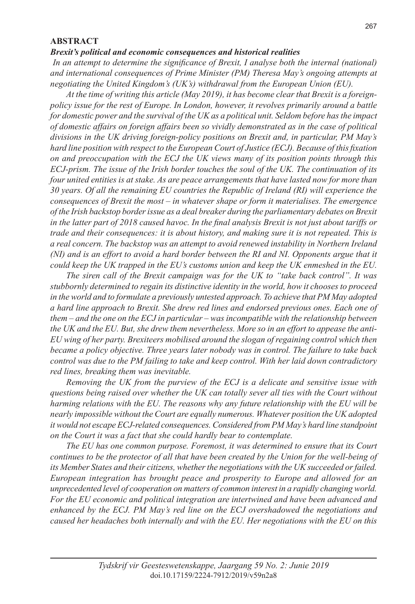#### **ABSTRACT**

#### *Brexit's political and economic consequences and historical realities*

 *In an attempt to determine the significance of Brexit, I analyse both the internal (national) and international consequences of Prime Minister (PM) Theresa May's ongoing attempts at negotiating the United Kingdom's (UK's) withdrawal from the European Union (EU).* 

*At the time of writing this article (May 2019), it has become clear that Brexit is a foreignpolicy issue for the rest of Europe. In London, however, it revolves primarily around a battle for domestic power and the survival of the UK as a political unit. Seldom before has the impact of domestic affairs on foreign affairs been so vividly demonstrated as in the case of political divisions in the UK driving foreign-policy positions on Brexit and, in particular, PM May's hard line position with respect to the European Court of Justice (ECJ). Because of this fixation on and preoccupation with the ECJ the UK views many of its position points through this ECJ-prism. The issue of the Irish border touches the soul of the UK. The continuation of its four united entities is at stake. As are peace arrangements that have lasted now for more than 30 years. Of all the remaining EU countries the Republic of Ireland (RI) will experience the consequences of Brexit the most – in whatever shape or form it materialises. The emergence of the Irish backstop border issue as a deal breaker during the parliamentary debates on Brexit in the latter part of 2018 caused havoc. In the final analysis Brexit is not just about tariffs or trade and their consequences: it is about history, and making sure it is not repeated. This is a real concern. The backstop was an attempt to avoid renewed instability in Northern Ireland (NI) and is an effort to avoid a hard border between the RI and NI. Opponents argue that it could keep the UK trapped in the EU's customs union and keep the UK enmeshed in the EU.*

*The siren call of the Brexit campaign was for the UK to "take back control". It was stubbornly determined to regain its distinctive identity in the world, how it chooses to proceed in the world and to formulate a previously untested approach. To achieve that PM May adopted a hard line approach to Brexit. She drew red lines and endorsed previous ones. Each one of them – and the one on the ECJ in particular – was incompatible with the relationship between the UK and the EU. But, she drew them nevertheless. More so in an effort to appease the anti-EU wing of her party. Brexiteers mobilised around the slogan of regaining control which then became a policy objective. Three years later nobody was in control. The failure to take back control was due to the PM failing to take and keep control. With her laid down contradictory red lines, breaking them was inevitable.* 

*Removing the UK from the purview of the ECJ is a delicate and sensitive issue with questions being raised over whether the UK can totally sever all ties with the Court without harming relations with the EU. The reasons why any future relationship with the EU will be nearly impossible without the Court are equally numerous. Whatever position the UK adopted it would not escape ECJ-related consequences. Considered from PM May's hard line standpoint on the Court it was a fact that she could hardly bear to contemplate.*

*The EU has one common purpose. Foremost, it was determined to ensure that its Court continues to be the protector of all that have been created by the Union for the well-being of its Member States and their citizens, whether the negotiations with the UK succeeded or failed. European integration has brought peace and prosperity to Europe and allowed for an unprecedented level of cooperation on matters of common interest in a rapidly changing world. For the EU economic and political integration are intertwined and have been advanced and enhanced by the ECJ. PM May's red line on the ECJ overshadowed the negotiations and caused her headaches both internally and with the EU. Her negotiations with the EU on this*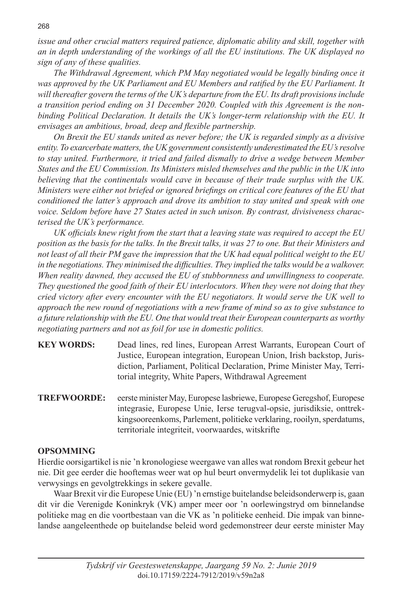*issue and other crucial matters required patience, diplomatic ability and skill, together with an in depth understanding of the workings of all the EU institutions. The UK displayed no sign of any of these qualities.*

*The Withdrawal Agreement, which PM May negotiated would be legally binding once it was approved by the UK Parliament and EU Members and ratified by the EU Parliament. It will thereafter govern the terms of the UK's departure from the EU. Its draft provisions include a transition period ending on 31 December 2020. Coupled with this Agreement is the nonbinding Political Declaration. It details the UK's longer-term relationship with the EU. It envisages an ambitious, broad, deep and flexible partnership.*

*On Brexit the EU stands united as never before; the UK is regarded simply as a divisive entity. To exarcerbate matters, the UK government consistently underestimated the EU's resolve to stay united. Furthermore, it tried and failed dismally to drive a wedge between Member States and the EU Commission. Its Ministers misled themselves and the public in the UK into believing that the continentals would cave in because of their trade surplus with the UK. Ministers were either not briefed or ignored briefings on critical core features of the EU that conditioned the latter's approach and drove its ambition to stay united and speak with one voice. Seldom before have 27 States acted in such unison. By contrast, divisiveness characterised the UK's performance.* 

*UK officials knew right from the start that a leaving state was required to accept the EU position as the basis for the talks. In the Brexit talks, it was 27 to one. But their Ministers and not least of all their PM gave the impression that the UK had equal political weight to the EU*  in the negotiations. They minimised the difficulties. They implied the talks would be a walkover. *When reality dawned, they accused the EU of stubbornness and unwillingness to cooperate. They questioned the good faith of their EU interlocutors. When they were not doing that they cried victory after every encounter with the EU negotiators. It would serve the UK well to approach the new round of negotiations with a new frame of mind so as to give substance to a future relationship with the EU. One that would treat their European counterparts as worthy negotiating partners and not as foil for use in domestic politics.*

- **KEY WORDS:** Dead lines, red lines, European Arrest Warrants, European Court of Justice, European integration, European Union, Irish backstop, Jurisdiction, Parliament, Political Declaration, Prime Minister May, Territorial integrity, White Papers, Withdrawal Agreement
- **TREFWOORDE:** eerste minister May, Europese lasbriewe, Europese Geregshof, Europese integrasie, Europese Unie, Ierse terugval-opsie, jurisdiksie, onttrekkingsooreenkoms, Parlement, politieke verklaring, rooilyn, sperdatums, territoriale integriteit, voorwaardes, witskrifte

## **OPSOMMING**

Hierdie oorsigartikel is nie 'n kronologiese weergawe van alles wat rondom Brexit gebeur het nie. Dit gee eerder die hooftemas weer wat op hul beurt onvermydelik lei tot duplikasie van verwysings en gevolgtrekkings in sekere gevalle.

Waar Brexit vir die Europese Unie (EU) 'n ernstige buitelandse beleidsonderwerp is, gaan dit vir die Verenigde Koninkryk (VK) amper meer oor 'n oorlewingstryd om binnelandse politieke mag en die voortbestaan van die VK as 'n politieke eenheid. Die impak van binnelandse aangeleenthede op buitelandse beleid word gedemonstreer deur eerste minister May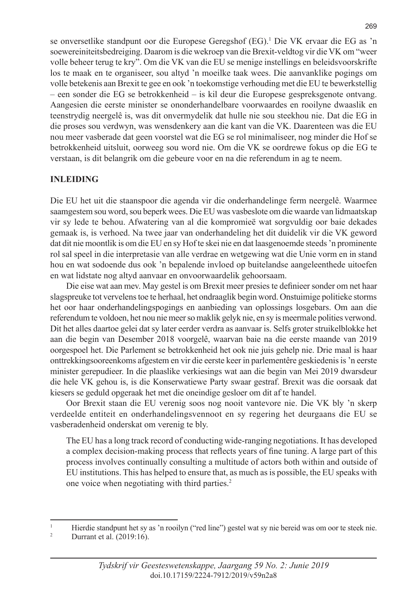se onversetlike standpunt oor die Europese Geregshof (EG).1 Die VK ervaar die EG as 'n soewereiniteitsbedreiging. Daarom is die wekroep van die Brexit-veldtog vir die VK om "weer volle beheer terug te kry". Om die VK van die EU se menige instellings en beleidsvoorskrifte los te maak en te organiseer, sou altyd 'n moeilke taak wees. Die aanvanklike pogings om volle betekenis aan Brexit te gee en ook 'n toekomstige verhouding met die EU te bewerkstellig – een sonder die EG se betrokkenheid – is kil deur die Europese gespreksgenote ontvang. Aangesien die eerste minister se ononderhandelbare voorwaardes en rooilyne dwaaslik en teenstrydig neergelê is, was dit onvermydelik dat hulle nie sou steekhou nie. Dat die EG in die proses sou verdwyn, was wensdenkery aan die kant van die VK. Daarenteen was die EU nou meer vasberade dat geen voorstel wat die EG se rol minimaliseer, nog minder die Hof se betrokkenheid uitsluit, oorweeg sou word nie. Om die VK se oordrewe fokus op die EG te verstaan, is dit belangrik om die gebeure voor en na die referendum in ag te neem.

# **INLEIDING**

Die EU het uit die staanspoor die agenda vir die onderhandelinge ferm neergelê. Waarmee saamgestem sou word, sou beperk wees. Die EU was vasbeslote om die waarde van lidmaatskap vir sy lede te behou. Afwatering van al die kompromieë wat sorgvuldig oor baie dekades gemaak is, is verhoed. Na twee jaar van onderhandeling het dit duidelik vir die VK geword dat dit nie moontlik is om die EU en sy Hof te skei nie en dat laasgenoemde steeds 'n prominente rol sal speel in die interpretasie van alle verdrae en wetgewing wat die Unie vorm en in stand hou en wat sodoende dus ook 'n bepalende invloed op buitelandse aangeleenthede uitoefen en wat lidstate nog altyd aanvaar en onvoorwaardelik gehoorsaam.

Die eise wat aan mev. May gestel is om Brexit meer presies te definieer sonder om net haar slagspreuke tot vervelens toe te herhaal, het ondraaglik begin word. Onstuimige politieke storms het oor haar onderhandelingspogings en aanbieding van oplossings losgebars. Om aan die referendum te voldoen, het nou nie meer so maklik gelyk nie, en sy is meermale polities verwond. Dit het alles daartoe gelei dat sy later eerder verdra as aanvaar is. Selfs groter struikelblokke het aan die begin van Desember 2018 voorgelê, waarvan baie na die eerste maande van 2019 oorgespoel het. Die Parlement se betrokkenheid het ook nie juis gehelp nie. Drie maal is haar onttrekkingsooreenkoms afgestem en vir die eerste keer in parlementêre geskiedenis is 'n eerste minister gerepudieer. In die plaaslike verkiesings wat aan die begin van Mei 2019 dwarsdeur die hele VK gehou is, is die Konserwatiewe Party swaar gestraf. Brexit was die oorsaak dat kiesers se geduld opgeraak het met die oneindige gesloer om dit af te handel.

Oor Brexit staan die EU verenig soos nog nooit vantevore nie. Die VK bly 'n skerp verdeelde entiteit en onderhandelingsvennoot en sy regering het deurgaans die EU se vasberadenheid onderskat om verenig te bly.

The EU has a long track record of conducting wide-ranging negotiations. It has developed a complex decision-making process that reflects years of fine tuning. A large part of this process involves continually consulting a multitude of actors both within and outside of EU institutions. This has helped to ensure that, as much as is possible, the EU speaks with one voice when negotiating with third parties.2

<sup>&</sup>lt;sup>1</sup> Hierdie standpunt het sy as 'n rooilyn ("red line") gestel wat sy nie bereid was om oor te steek nie.<br><sup>2</sup> Durrent et al. (2010-16)

Durrant et al. (2019:16).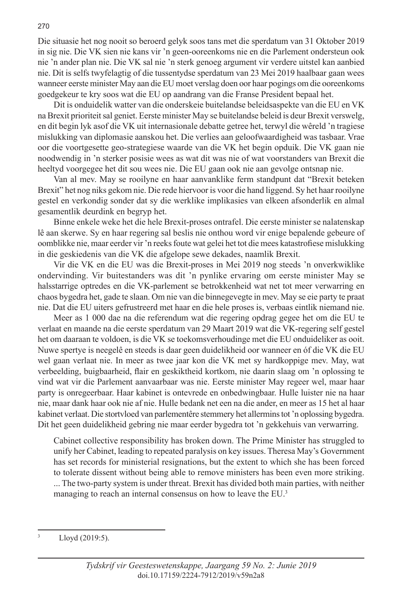Die situasie het nog nooit so beroerd gelyk soos tans met die sperdatum van 31 Oktober 2019 in sig nie. Die VK sien nie kans vir 'n geen-ooreenkoms nie en die Parlement ondersteun ook nie 'n ander plan nie. Die VK sal nie 'n sterk genoeg argument vir verdere uitstel kan aanbied nie. Dit is selfs twyfelagtig of die tussentydse sperdatum van 23 Mei 2019 haalbaar gaan wees wanneer eerste minister May aan die EU moet verslag doen oor haar pogings om die ooreenkoms goedgekeur te kry soos wat die EU op aandrang van die Franse President bepaal het.

Dit is onduidelik watter van die onderskeie buitelandse beleidsaspekte van die EU en VK na Brexit prioriteit sal geniet. Eerste minister May se buitelandse beleid is deur Brexit verswelg, en dit begin lyk asof die VK uit internasionale debatte getree het, terwyl die wêreld 'n tragiese mislukking van diplomasie aanskou het. Die verlies aan geloofwaardigheid was tasbaar. Vrae oor die voortgesette geo-strategiese waarde van die VK het begin opduik. Die VK gaan nie noodwendig in 'n sterker posisie wees as wat dit was nie of wat voorstanders van Brexit die heeltyd voorgegee het dit sou wees nie. Die EU gaan ook nie aan gevolge ontsnap nie.

Van al mev. May se rooilyne en haar aanvanklike ferm standpunt dat "Brexit beteken Brexit" het nog niks gekom nie. Die rede hiervoor is voor die hand liggend. Sy het haar rooilyne gestel en verkondig sonder dat sy die werklike implikasies van elkeen afsonderlik en almal gesamentlik deurdink en begryp het.

Binne enkele weke het die hele Brexit-proses ontrafel. Die eerste minister se nalatenskap lê aan skerwe. Sy en haar regering sal beslis nie onthou word vir enige bepalende gebeure of oomblikke nie, maar eerder vir 'n reeks foute wat gelei het tot die mees katastrofiese mislukking in die geskiedenis van die VK die afgelope sewe dekades, naamlik Brexit.

Vir die VK en die EU was die Brexit-proses in Mei 2019 nog steeds 'n onverkwiklike ondervinding. Vir buitestanders was dit 'n pynlike ervaring om eerste minister May se halsstarrige optredes en die VK-parlement se betrokkenheid wat net tot meer verwarring en chaos bygedra het, gade te slaan. Om nie van die binnegevegte in mev. May se eie party te praat nie. Dat die EU uiters gefrustreerd met haar en die hele proses is, verbaas eintlik niemand nie.

Meer as 1 000 dae na die referendum wat die regering opdrag gegee het om die EU te verlaat en maande na die eerste sperdatum van 29 Maart 2019 wat die VK-regering self gestel het om daaraan te voldoen, is die VK se toekomsverhoudinge met die EU onduideliker as ooit. Nuwe spertye is neegelê en steeds is daar geen duidelikheid oor wanneer en όf die VK die EU wel gaan verlaat nie. In meer as twee jaar kon die VK met sy hardkoppige mev. May, wat verbeelding, buigbaarheid, flair en geskiktheid kortkom, nie daarin slaag om 'n oplossing te vind wat vir die Parlement aanvaarbaar was nie. Eerste minister May regeer wel, maar haar party is onregeerbaar. Haar kabinet is ontevrede en onbedwingbaar. Hulle luister nie na haar nie, maar dank haar ook nie af nie. Hulle bedank net een na die ander, en meer as 15 het al haar kabinet verlaat. Die stortvloed van parlementêre stemmery het allermins tot 'n oplossing bygedra. Dit het geen duidelikheid gebring nie maar eerder bygedra tot 'n gekkehuis van verwarring.

Cabinet collective responsibility has broken down. The Prime Minister has struggled to unify her Cabinet, leading to repeated paralysis on key issues. Theresa May's Government has set records for ministerial resignations, but the extent to which she has been forced to tolerate dissent without being able to remove ministers has been even more striking. ... The two-party system is under threat. Brexit has divided both main parties, with neither managing to reach an internal consensus on how to leave the EU.<sup>3</sup>

Lloyd (2019:5).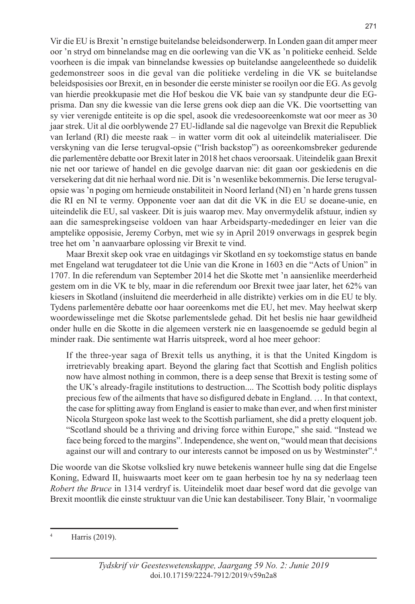Vir die EU is Brexit 'n ernstige buitelandse beleidsonderwerp. In Londen gaan dit amper meer oor 'n stryd om binnelandse mag en die oorlewing van die VK as 'n politieke eenheid. Selde voorheen is die impak van binnelandse kwessies op buitelandse aangeleenthede so duidelik gedemonstreer soos in die geval van die politieke verdeling in die VK se buitelandse beleidsposisies oor Brexit, en in besonder die eerste minister se rooilyn oor die EG. As gevolg van hierdie preokkupasie met die Hof beskou die VK baie van sy standpunte deur die EGprisma. Dan sny die kwessie van die Ierse grens ook diep aan die VK. Die voortsetting van sy vier verenigde entiteite is op die spel, asook die vredesooreenkomste wat oor meer as 30 jaar strek. Uit al die oorblywende 27 EU-lidlande sal die nagevolge van Brexit die Republiek van Ierland (RI) die meeste raak – in watter vorm dit ook al uiteindelik materialiseer. Die verskyning van die Ierse terugval-opsie ("Irish backstop") as ooreenkomsbreker gedurende die parlementêre debatte oor Brexit later in 2018 het chaos veroorsaak. Uiteindelik gaan Brexit nie net oor tariewe of handel en die gevolge daarvan nie: dit gaan oor geskiedenis en die versekering dat dit nie herhaal word nie. Dit is 'n wesenlike bekommernis. Die Ierse terugvalopsie was 'n poging om hernieude onstabiliteit in Noord Ierland (NI) en 'n harde grens tussen die RI en NI te vermy. Opponente voer aan dat dit die VK in die EU se doeane-unie, en uiteindelik die EU, sal vaskeer. Dít is juis waarop mev. May onvermydelik afstuur, indien sy aan die samesprekingseise voldoen van haar Arbeidsparty-mededinger en leier van die amptelike opposisie, Jeremy Corbyn, met wie sy in April 2019 onverwags in gesprek begin tree het om 'n aanvaarbare oplossing vir Brexit te vind.

Maar Brexit skep ook vrae en uitdagings vir Skotland en sy toekomstige status en bande met Engeland wat terugdateer tot die Unie van die Krone in 1603 en die "Acts of Union" in 1707. In die referendum van September 2014 het die Skotte met 'n aansienlike meerderheid gestem om in die VK te bly, maar in die referendum oor Brexit twee jaar later, het 62% van kiesers in Skotland (insluitend die meerderheid in alle distrikte) verkies om in die EU te bly. Tydens parlementêre debatte oor haar ooreenkoms met die EU, het mev. May heelwat skerp woordewisselinge met die Skotse parlementslede gehad. Dit het beslis nie haar gewildheid onder hulle en die Skotte in die algemeen versterk nie en laasgenoemde se geduld begin al minder raak. Die sentimente wat Harris uitspreek, word al hoe meer gehoor:

If the three-year saga of Brexit tells us anything, it is that the United Kingdom is irretrievably breaking apart. Beyond the glaring fact that Scottish and English politics now have almost nothing in common, there is a deep sense that Brexit is testing some of the UK's already-fragile institutions to destruction.... The Scottish body politic displays precious few of the ailments that have so disfigured debate in England. … In that context, the case for splitting away from England is easier to make than ever, and when first minister Nicola Sturgeon spoke last week to the Scottish parliament, she did a pretty eloquent job. "Scotland should be a thriving and driving force within Europe," she said. "Instead we face being forced to the margins". Independence, she went on, "would mean that decisions against our will and contrary to our interests cannot be imposed on us by Westminster".4

Die woorde van die Skotse volkslied kry nuwe betekenis wanneer hulle sing dat die Engelse Koning, Edward II, huiswaarts moet keer om te gaan herbesin toe hy na sy nederlaag teen *Robert the Bruce* in 1314 verdryf is. Uiteindelik moet daar besef word dat die gevolge van Brexit moontlik die einste struktuur van die Unie kan destabiliseer. Tony Blair, 'n voormalige

<sup>4</sup> Harris (2019).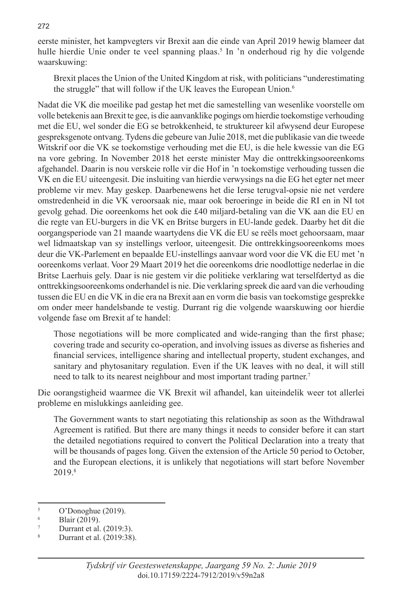eerste minister, het kampvegters vir Brexit aan die einde van April 2019 hewig blameer dat hulle hierdie Unie onder te veel spanning plaas.<sup>5</sup> In 'n onderhoud rig hy die volgende waarskuwing:

Brexit places the Union of the United Kingdom at risk, with politicians "underestimating the struggle" that will follow if the UK leaves the European Union.<sup>6</sup>

Nadat die VK die moeilike pad gestap het met die samestelling van wesenlike voorstelle om volle betekenis aan Brexit te gee, is die aanvanklike pogings om hierdie toekomstige verhouding met die EU, wel sonder die EG se betrokkenheid, te struktureer kil afwysend deur Europese gespreksgenote ontvang. Tydens die gebeure van Julie 2018, met die publikasie van die tweede Witskrif oor die VK se toekomstige verhouding met die EU, is die hele kwessie van die EG na vore gebring. In November 2018 het eerste minister May die onttrekkingsooreenkoms afgehandel. Daarin is nou verskeie rolle vir die Hof in 'n toekomstige verhouding tussen die VK en die EU uiteengesit. Die insluiting van hierdie verwysings na die EG het egter net meer probleme vir mev. May geskep. Daarbenewens het die Ierse terugval-opsie nie net verdere omstredenheid in die VK veroorsaak nie, maar ook beroeringe in beide die RI en in NI tot gevolg gehad. Die ooreenkoms het ook die £40 miljard-betaling van die VK aan die EU en die regte van EU-burgers in die VK en Britse burgers in EU-lande gedek. Daarby het dit die oorgangsperiode van 21 maande waartydens die VK die EU se reëls moet gehoorsaam, maar wel lidmaatskap van sy instellings verloor, uiteengesit. Die onttrekkingsooreenkoms moes deur die VK-Parlement en bepaalde EU-instellings aanvaar word voor die VK die EU met 'n ooreenkoms verlaat. Voor 29 Maart 2019 het die ooreenkoms drie noodlottige nederlae in die Britse Laerhuis gely. Daar is nie gestem vir die politieke verklaring wat terselfdertyd as die onttrekkingsooreenkoms onderhandel is nie. Die verklaring spreek die aard van die verhouding tussen die EU en die VK in die era na Brexit aan en vorm die basis van toekomstige gesprekke om onder meer handelsbande te vestig. Durrant rig die volgende waarskuwing oor hierdie volgende fase om Brexit af te handel:

Those negotiations will be more complicated and wide-ranging than the first phase; covering trade and security co-operation, and involving issues as diverse as fisheries and financial services, intelligence sharing and intellectual property, student exchanges, and sanitary and phytosanitary regulation. Even if the UK leaves with no deal, it will still need to talk to its nearest neighbour and most important trading partner.<sup>7</sup>

Die oorangstigheid waarmee die VK Brexit wil afhandel, kan uiteindelik weer tot allerlei probleme en mislukkings aanleiding gee.

The Government wants to start negotiating this relationship as soon as the Withdrawal Agreement is ratified. But there are many things it needs to consider before it can start the detailed negotiations required to convert the Political Declaration into a treaty that will be thousands of pages long. Given the extension of the Article 50 period to October, and the European elections, it is unlikely that negotiations will start before November 2019.8

 $^{5}$  O'Donoghue (2019).

Blair (2019).

 $\frac{7}{8}$  Durrant et al. (2019:3).

Durrant et al. (2019:38).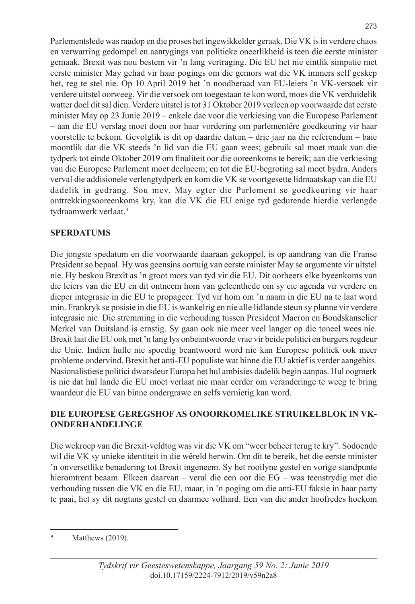Parlementslede was raadop en die proses het ingewikkelder geraak. Die VK is in verdere chaos en verwarring gedompel en aantygings van politieke oneerlikheid is teen die eerste minister gemaak. Brexit was nou bestem vir 'n lang vertraging. Die EU het nie eintlik simpatie met eerste minister May gehad vir haar pogings om die gemors wat die VK immers self geskep het, reg te stel nie. Op 10 April 2019 het 'n noodberaad van EU-leiers 'n VK-versoek vir verdere uitstel oorweeg. Vir die versoek om toegestaan te kon word, moes die VK verduidelik watter doel dit sal dien. Verdere uitstel is tot 31 Oktober 2019 verleen op voorwaarde dat eerste minister May op 23 Junie 2019 – enkele dae voor die verkiesing van die Europese Parlement – aan die EU verslag moet doen oor haar vordering om parlementêre goedkeuring vir haar voorstelle te bekom. Gevolglik is dit op daardie datum – drie jaar na die referendum – baie moontlik dat die VK steeds 'n lid van die EU gaan wees; gebruik sal moet maak van die tydperk tot einde Oktober 2019 om finaliteit oor die ooreenkoms te bereik; aan die verkiesing van die Europese Parlement moet deelneem; en tot die EU-begroting sal moet bydra. Anders verval die addisionele verlengtydperk en kom die VK se voortgesette lidmaatskap van die EU dadelik in gedrang. Sou mev. May egter die Parlement se goedkeuring vir haar onttrekkingsooreenkoms kry, kan die VK die EU enige tyd gedurende hierdie verlengde tydraamwerk verlaat.9

# **SPERDATUMS**

Die jongste spedatum en die voorwaarde daaraan gekoppel, is op aandrang van die Franse President so bepaal. Hy was geensins oortuig van eerste minister May se argumente vir uitstel nie. Hy beskou Brexit as 'n groot mors van tyd vir die EU. Dit oorheers elke byeenkoms van die leiers van die EU en dit ontneem hom van geleenthede om sy eie agenda vir verdere en dieper integrasie in die EU te propageer. Tyd vir hom om 'n naam in die EU na te laat word min. Frankryk se posisie in die EU is wankelrig en nie alle lidlande steun sy planne vir verdere integrasie nie. Die stremming in die verhouding tussen President Macron en Bondskanselier Merkel van Duitsland is ernstig. Sy gaan ook nie meer veel langer op die toneel wees nie. Brexit laat die EU ook met 'n lang lys onbeantwoorde vrae vir beide politici en burgers regdeur die Unie. Indien hulle nie spoedig beantwoord word nie kan Europese politiek ook meer probleme ondervind. Brexit het anti-EU populiste wat binne die EU aktief is verder aangehits. Nasionalistiese politici dwarsdeur Europa het hul ambisies dadelik begin aanpas. Hul oogmerk is nie dat hul lande die EU moet verlaat nie maar eerder om veranderinge te weeg te bring waardeur die EU van binne ondergrawe en selfs vernietig kan word.

# **DIE EUROPESE GEREGSHOF AS ONOORKOMELIKE STRUIKELBLOK IN VK-ONDERHANDELINGE**

Die wekroep van die Brexit-veldtog was vir die VK om "weer beheer terug te kry". Sodoende wil die VK sy unieke identiteit in die wêreld herwin. Om dit te bereik, het die eerste minister 'n onversetlike benadering tot Brexit ingeneem. Sy het rooilyne gestel en vorige standpunte hieromtrent beaam. Elkeen daarvan – veral die een oor die EG – was teenstrydig met die verhouding tussen die VK en die EU, maar, in 'n poging om die anti-EU faksie in haar party te paai, het sy dit nogtans gestel en daarmee volhard. Een van die ander hoofredes hoekom

Matthews  $(2019)$ .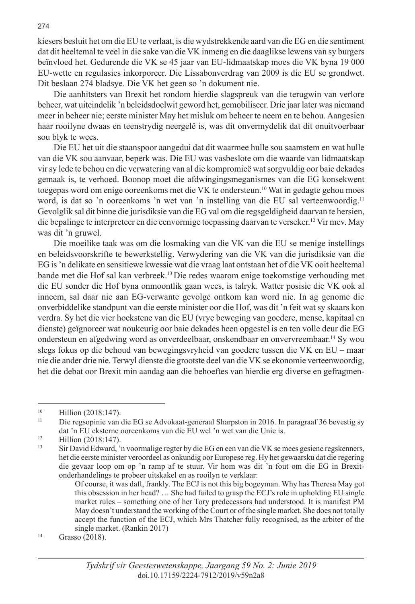kiesers besluit het om die EU te verlaat, is die wydstrekkende aard van die EG en die sentiment dat dit heeltemal te veel in die sake van die VK inmeng en die daaglikse lewens van sy burgers beïnvloed het. Gedurende die VK se 45 jaar van EU-lidmaatskap moes die VK byna 19 000 EU-wette en regulasies inkorporeer. Die Lissabonverdrag van 2009 is die EU se grondwet. Dit beslaan 274 bladsye. Die VK het geen so 'n dokument nie.

Die aanhitsters van Brexit het rondom hierdie slagspreuk van die terugwin van verlore beheer, wat uiteindelik 'n beleidsdoelwit geword het, gemobiliseer. Drie jaar later was niemand meer in beheer nie; eerste minister May het misluk om beheer te neem en te behou. Aangesien haar rooilyne dwaas en teenstrydig neergelê is, was dit onvermydelik dat dit onuitvoerbaar sou blyk te wees.

Die EU het uit die staanspoor aangedui dat dit waarmee hulle sou saamstem en wat hulle van die VK sou aanvaar, beperk was. Die EU was vasbeslote om die waarde van lidmaatskap vir sy lede te behou en die verwatering van al die kompromieë wat sorgvuldig oor baie dekades gemaak is, te verhoed. Boonop moet die afdwingingsmeganismes van die EG konsekwent toegepas word om enige ooreenkoms met die VK te ondersteun.10 Wat in gedagte gehou moes word, is dat so 'n ooreenkoms 'n wet van 'n instelling van die EU sal verteenwoordig.<sup>11</sup> Gevolglik sal dit binne die jurisdiksie van die EG val om die regsgeldigheid daarvan te hersien, die bepalinge te interpreteer en die eenvormige toepassing daarvan te verseker.12 Vir mev. May was dit 'n gruwel.

Die moeilike taak was om die losmaking van die VK van die EU se menige instellings en beleidsvoorskrifte te bewerkstellig. Verwydering van die VK van die jurisdiksie van die EG is 'n delikate en sensitiewe kwessie wat die vraag laat ontstaan het of die VK ooit heeltemal bande met die Hof sal kan verbreek.13 Die redes waarom enige toekomstige verhouding met die EU sonder die Hof byna onmoontlik gaan wees, is talryk. Watter posisie die VK ook al inneem, sal daar nie aan EG-verwante gevolge ontkom kan word nie. In ag genome die onverbiddelike standpunt van die eerste minister oor die Hof, was dit 'n feit wat sy skaars kon verdra. Sy het die vier hoekstene van die EU (vrye beweging van goedere, mense, kapitaal en dienste) geïgnoreer wat noukeurig oor baie dekades heen opgestel is en ten volle deur die EG ondersteun en afgedwing word as onverdeelbaar, onskendbaar en onvervreembaar.14 Sy wou slegs fokus op die behoud van bewegingsvryheid van goedere tussen die VK en EU – maar nie die ander drie nie. Terwyl dienste die grootste deel van die VK se ekonomie verteenwoordig, het die debat oor Brexit min aandag aan die behoeftes van hierdie erg diverse en gefragmen-

 $10$  Hillion (2018:147).

<sup>11</sup> Die regsopinie van die EG se Advokaat-generaal Sharpston in 2016. In paragraaf 36 bevestig sy dat 'n EU eksterne ooreenkoms van die EU wel 'n wet van die Unie is.

<sup>&</sup>lt;sup>12</sup> Hillion (2018:147).

<sup>13</sup> Sir David Edward, 'n voormalige regter by die EG en een van die VK se mees gesiene regskenners, het die eerste minister veroordeel as onkundig oor Europese reg. Hy het gewaarsku dat die regering die gevaar loop om op 'n ramp af te stuur. Vir hom was dit 'n fout om die EG in Brexit-

Of course, it was daft, frankly. The ECJ is not this big bogeyman. Why has Theresa May got this obsession in her head? … She had failed to grasp the ECJ's role in upholding EU single market rules – something one of her Tory predecessors had understood. It is manifest PM May doesn't understand the working of the Court or of the single market. She does not totally accept the function of the ECJ, which Mrs Thatcher fully recognised, as the arbiter of the single market. (Rankin 2017)<br>
Grasso (2018).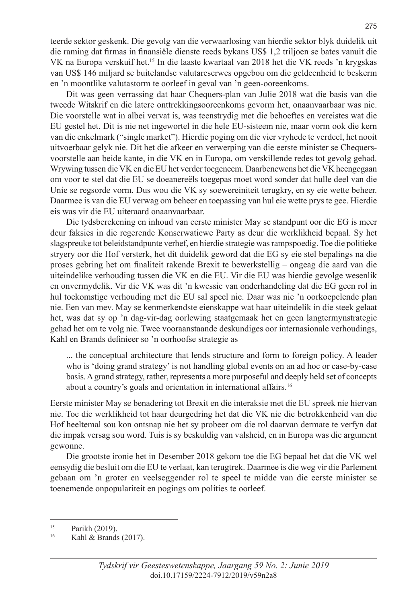teerde sektor geskenk. Die gevolg van die verwaarlosing van hierdie sektor blyk duidelik uit die raming dat firmas in finansiële dienste reeds bykans US\$ 1,2 triljoen se bates vanuit die VK na Europa verskuif het.15 In die laaste kwartaal van 2018 het die VK reeds 'n krygskas van US\$ 146 miljard se buitelandse valutareserwes opgebou om die geldeenheid te beskerm en 'n moontlike valutastorm te oorleef in geval van 'n geen-ooreenkoms.

Dit was geen verrassing dat haar Chequers-plan van Julie 2018 wat die basis van die tweede Witskrif en die latere onttrekkingsooreenkoms gevorm het, onaanvaarbaar was nie. Die voorstelle wat in albei vervat is, was teenstrydig met die behoeftes en vereistes wat die EU gestel het. Dit is nie net ingewortel in die hele EU-sisteem nie, maar vorm ook die kern van die enkelmark ("single market"). Hierdie poging om die vier vryhede te verdeel, het nooit uitvoerbaar gelyk nie. Dit het die afkeer en verwerping van die eerste minister se Chequersvoorstelle aan beide kante, in die VK en in Europa, om verskillende redes tot gevolg gehad. Wrywing tussen die VK en die EU het verder toegeneem. Daarbenewens het die VK heengegaan om voor te stel dat die EU se doeanereëls toegepas moet word sonder dat hulle deel van die Unie se regsorde vorm. Dus wou die VK sy soewereiniteit terugkry, en sy eie wette beheer. Daarmee is van die EU verwag om beheer en toepassing van hul eie wette prys te gee. Hierdie eis was vir die EU uiteraard onaanvaarbaar.

Die tydsberekening en inhoud van eerste minister May se standpunt oor die EG is meer deur faksies in die regerende Konserwatiewe Party as deur die werklikheid bepaal. Sy het slagspreuke tot beleidstandpunte verhef, en hierdie strategie was rampspoedig. Toe die politieke stryery oor die Hof versterk, het dit duidelik geword dat die EG sy eie stel bepalings na die proses gebring het om finaliteit rakende Brexit te bewerkstellig – ongeag die aard van die uiteindelike verhouding tussen die VK en die EU. Vir die EU was hierdie gevolge wesenlik en onvermydelik. Vir die VK was dit 'n kwessie van onderhandeling dat die EG geen rol in hul toekomstige verhouding met die EU sal speel nie. Daar was nie 'n oorkoepelende plan nie. Een van mev. May se kenmerkendste eienskappe wat haar uiteindelik in die steek gelaat het, was dat sy op 'n dag-vir-dag oorlewing staatgemaak het en geen langtermynstrategie gehad het om te volg nie. Twee vooraanstaande deskundiges oor internasionale verhoudings, Kahl en Brands definieer so 'n oorhoofse strategie as

... the conceptual architecture that lends structure and form to foreign policy. A leader who is 'doing grand strategy' is not handling global events on an ad hoc or case-by-case basis. A grand strategy, rather, represents a more purposeful and deeply held set of concepts about a country's goals and orientation in international affairs.16

Eerste minister May se benadering tot Brexit en die interaksie met die EU spreek nie hiervan nie. Toe die werklikheid tot haar deurgedring het dat die VK nie die betrokkenheid van die Hof heeltemal sou kon ontsnap nie het sy probeer om die rol daarvan dermate te verfyn dat die impak versag sou word. Tuis is sy beskuldig van valsheid, en in Europa was die argument gewonne.

Die grootste ironie het in Desember 2018 gekom toe die EG bepaal het dat die VK wel eensydig die besluit om die EU te verlaat, kan terugtrek. Daarmee is die weg vir die Parlement gebaan om 'n groter en veelseggender rol te speel te midde van die eerste minister se toenemende onpopulariteit en pogings om polities te oorleef.

275

<sup>&</sup>lt;sup>15</sup> Parikh (2019).

Kahl & Brands  $(2017)$ .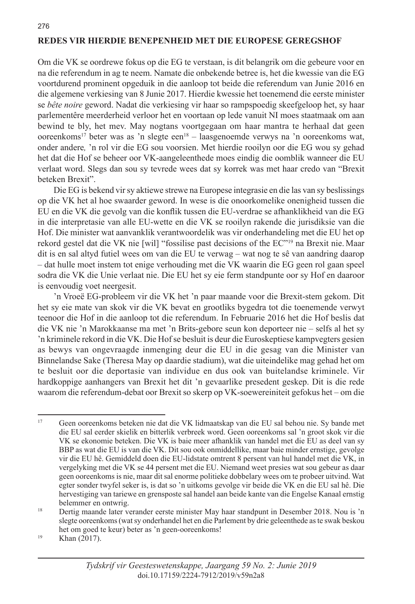# **REDES VIR HIERDIE BENEPENHEID MET DIE EUROPESE GEREGSHOF**

Om die VK se oordrewe fokus op die EG te verstaan, is dit belangrik om die gebeure voor en na die referendum in ag te neem. Namate die onbekende betree is, het die kwessie van die EG voortdurend prominent opgeduik in die aanloop tot beide die referendum van Junie 2016 en die algemene verkiesing van 8 Junie 2017. Hierdie kwessie het toenemend die eerste minister se *bête noire* geword. Nadat die verkiesing vir haar so rampspoedig skeefgeloop het, sy haar parlementêre meerderheid verloor het en voortaan op lede vanuit NI moes staatmaak om aan bewind te bly, het mev. May nogtans voortgegaan om haar mantra te herhaal dat geen ooreenkoms<sup>17</sup> beter was as 'n slegte een<sup>18</sup> – laasgenoemde verwys na 'n ooreenkoms wat, onder andere*,* 'n rol vir die EG sou voorsien. Met hierdie rooilyn oor die EG wou sy gehad het dat die Hof se beheer oor VK-aangeleenthede moes eindig die oomblik wanneer die EU verlaat word. Slegs dan sou sy tevrede wees dat sy korrek was met haar credo van "Brexit beteken Brexit".

Die EG is bekend vir sy aktiewe strewe na Europese integrasie en die las van sy beslissings op die VK het al hoe swaarder geword. In wese is die onoorkomelike onenigheid tussen die EU en die VK die gevolg van die konflik tussen die EU-verdrae se afhanklikheid van die EG in die interpretasie van alle EU-wette en die VK se rooilyn rakende die jurisdiksie van die Hof. Die minister wat aanvanklik verantwoordelik was vir onderhandeling met die EU het op rekord gestel dat die VK nie [wil] "fossilise past decisions of the EC"19 na Brexit nie. Maar dit is en sal altyd futiel wees om van die EU te verwag – wat nog te sê van aandring daarop – dat hulle moet instem tot enige verhouding met die VK waarin die EG geen rol gaan speel sodra die VK die Unie verlaat nie. Die EU het sy eie ferm standpunte oor sy Hof en daaroor is eenvoudig voet neergesit.

'n Vroeë EG-probleem vir die VK het 'n paar maande voor die Brexit-stem gekom. Dit het sy eie mate van skok vir die VK bevat en grootliks bygedra tot die toenemende verwyt teenoor die Hof in die aanloop tot die referendum. In Februarie 2016 het die Hof beslis dat die VK nie 'n Marokkaanse ma met 'n Brits-gebore seun kon deporteer nie – selfs al het sy 'n kriminele rekord in die VK. Die Hof se besluit is deur die Euroskeptiese kampvegters gesien as bewys van ongevraagde inmenging deur die EU in die gesag van die Minister van Binnelandse Sake (Theresa May op daardie stadium), wat die uiteindelike mag gehad het om te besluit oor die deportasie van individue en dus ook van buitelandse kriminele. Vir hardkoppige aanhangers van Brexit het dit 'n gevaarlike presedent geskep. Dit is die rede waarom die referendum-debat oor Brexit so skerp op VK-soewereiniteit gefokus het – om die

<sup>17</sup> Geen ooreenkoms beteken nie dat die VK lidmaatskap van die EU sal behou nie. Sy bande met die EU sal eerder skielik en bitterlik verbreek word. Geen ooreenkoms sal 'n groot skok vir die VK se ekonomie beteken. Die VK is baie meer afhanklik van handel met die EU as deel van sy BBP as wat die EU is van die VK. Dit sou ook onmiddellike, maar baie minder ernstige, gevolge vir die EU hê. Gemiddeld doen die EU-lidstate omtrent 8 persent van hul handel met die VK, in vergelyking met die VK se 44 persent met die EU. Niemand weet presies wat sou gebeur as daar geen ooreenkoms is nie, maar dit sal enorme politieke dobbelary wees om te probeer uitvind. Wat egter sonder twyfel seker is, is dat so 'n uitkoms gevolge vir beide die VK en die EU sal hê. Die hervestiging van tariewe en grensposte sal handel aan beide kante van die Engelse Kanaal ernstig belemmer en ontwrig.<br><sup>18</sup> Dertig maande later verander eerste minister May haar standpunt in Desember 2018. Nou is 'n

slegte ooreenkoms (wat sy onderhandel het en die Parlement by drie geleenthede as te swak beskou het om goed te keur) beter as 'n geen-ooreenkoms!<br>Khan (2017).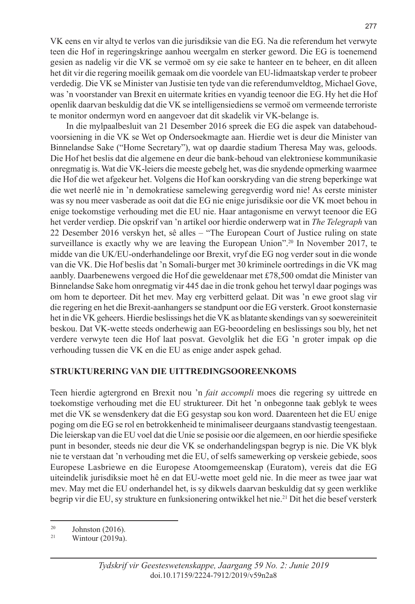VK eens en vir altyd te verlos van die jurisdiksie van die EG. Na die referendum het verwyte teen die Hof in regeringskringe aanhou weergalm en sterker geword. Die EG is toenemend gesien as nadelig vir die VK se vermoë om sy eie sake te hanteer en te beheer, en dit alleen het dit vir die regering moeilik gemaak om die voordele van EU-lidmaatskap verder te probeer verdedig. Die VK se Minister van Justisie ten tyde van die referendumveldtog, Michael Gove, was 'n voorstander van Brexit en uitermate krities en vyandig teenoor die EG.Hy het die Hof openlik daarvan beskuldig dat die VK se intelligensiediens se vermoë om vermeende terroriste te monitor ondermyn word en aangevoer dat dit skadelik vir VK-belange is.

In die mylpaalbesluit van 21 Desember 2016 spreek die EG die aspek van databehoudvoorsiening in die VK se Wet op Ondersoekmagte aan. Hierdie wet is deur die Minister van Binnelandse Sake ("Home Secretary"), wat op daardie stadium Theresa May was, geloods. Die Hof het beslis dat die algemene en deur die bank-behoud van elektroniese kommunikasie onregmatig is. Wat die VK-leiers die meeste gebelg het, was die snydende opmerking waarmee die Hof die wet afgekeur het. Volgens die Hof kan oorskryding van die streng beperkinge wat die wet neerlê nie in 'n demokratiese samelewing geregverdig word nie! As eerste minister was sy nou meer vasberade as ooit dat die EG nie enige jurisdiksie oor die VK moet behou in enige toekomstige verhouding met die EU nie. Haar antagonisme en verwyt teenoor die EG het verder verdiep. Die opskrif van 'n artikel oor hierdie onderwerp wat in *The Telegraph* van 22 Desember 2016 verskyn het, sê alles – "The European Court of Justice ruling on state surveillance is exactly why we are leaving the European Union".<sup>20</sup> In November 2017, te midde van die UK/EU-onderhandelinge oor Brexit, vryf die EG nog verder sout in die wonde van die VK. Die Hof beslis dat 'n Somali-burger met 30 kriminele oortredings in die VK mag aanbly. Daarbenewens vergoed die Hof die geweldenaar met £78,500 omdat die Minister van Binnelandse Sake hom onregmatig vir 445 dae in die tronk gehou het terwyl daar pogings was om hom te deporteer. Dit het mev. May erg verbitterd gelaat. Dit was 'n ewe groot slag vir die regering en het die Brexit-aanhangers se standpunt oor die EG versterk. Groot konsternasie het in die VK geheers. Hierdie beslissings het die VK as blatante skendings van sy soewereiniteit beskou. Dat VK-wette steeds onderhewig aan EG-beoordeling en beslissings sou bly, het net verdere verwyte teen die Hof laat posvat. Gevolglik het die EG 'n groter impak op die verhouding tussen die VK en die EU as enige ander aspek gehad.

# **STRUKTURERING VAN DIE UITTREDINGSOOREENKOMS**

Teen hierdie agtergrond en Brexit nou 'n *fait accompli* moes die regering sy uittrede en toekomstige verhouding met die EU struktureer. Dit het 'n onbegonne taak geblyk te wees met die VK se wensdenkery dat die EG gesystap sou kon word. Daarenteen het die EU enige poging om die EG se rol en betrokkenheid te minimaliseer deurgaans standvastig teengestaan. Die leierskap van die EU voel dat die Unie se posisie oor die algemeen, en oor hierdie spesifieke punt in besonder, steeds nie deur die VK se onderhandelingspan begryp is nie. Die VK blyk nie te verstaan dat 'n verhouding met die EU, of selfs samewerking op verskeie gebiede, soos Europese Lasbriewe en die Europese Atoomgemeenskap (Euratom), vereis dat die EG uiteindelik jurisdiksie moet hê en dat EU-wette moet geld nie. In die meer as twee jaar wat mev. May met die EU onderhandel het, is sy dikwels daarvan beskuldig dat sy geen werklike begrip vir die EU, sy strukture en funksionering ontwikkel het nie.<sup>21</sup> Dit het die besef versterk

<sup>&</sup>lt;sup>20</sup> Johnston (2016).

Wintour (2019a).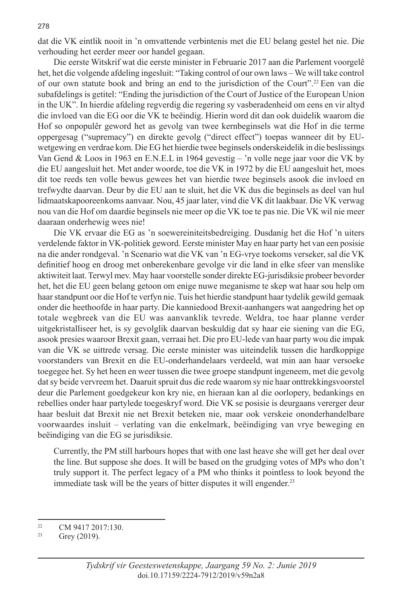dat die VK eintlik nooit in 'n omvattende verbintenis met die EU belang gestel het nie. Die verhouding het eerder meer oor handel gegaan.

Die eerste Witskrif wat die eerste minister in Februarie 2017 aan die Parlement voorgelê het, het die volgende afdeling ingesluit: "Taking control of our own laws – We will take control of our own statute book and bring an end to the jurisdiction of the Court".22 Een van die subafdelings is getitel: "Ending the jurisdiction of the Court of Justice of the European Union in the UK". In hierdie afdeling regverdig die regering sy vasberadenheid om eens en vir altyd die invloed van die EG oor die VK te beëindig. Hierin word dit dan ook duidelik waarom die Hof so onpopulêr geword het as gevolg van twee kernbeginsels wat die Hof in die terme oppergesag ("supremacy") en direkte gevolg ("direct effect") toepas wanneer dit by EUwetgewing en verdrae kom. Die EG het hierdie twee beginsels onderskeidelik in die beslissings Van Gend & Loos in 1963 en E.N.E.L in 1964 gevestig – 'n volle nege jaar voor die VK by die EU aangesluit het. Met ander woorde, toe die VK in 1972 by die EU aangesluit het, moes dit toe reeds ten volle bewus gewees het van hierdie twee beginsels asook die invloed en trefwydte daarvan. Deur by die EU aan te sluit, het die VK dus die beginsels as deel van hul lidmaatskapooreenkoms aanvaar. Nou, 45 jaar later, vind die VK dit laakbaar. Die VK verwag nou van die Hof om daardie beginsels nie meer op die VK toe te pas nie. Die VK wil nie meer daaraan onderhewig wees nie!

Die VK ervaar die EG as 'n soewereiniteitsbedreiging. Dusdanig het die Hof 'n uiters verdelende faktor in VK-politiek geword. Eerste minister May en haar party het van een posisie na die ander rondgeval. 'n Scenario wat die VK van 'n EG-vrye toekoms verseker, sal die VK definitief hoog en droog met onberekenbare gevolge vir die land in elke sfeer van menslike aktiwiteit laat. Terwyl mev. May haar voorstelle sonder direkte EG-jurisdiksie probeer bevorder het, het die EU geen belang getoon om enige nuwe meganisme te skep wat haar sou help om haar standpunt oor die Hof te verfyn nie. Tuis het hierdie standpunt haar tydelik gewild gemaak onder die heethoofde in haar party. Die kanniedood Brexit-aanhangers wat aangedring het op totale wegbreek van die EU was aanvanklik tevrede. Weldra, toe haar planne verder uitgekristalliseer het, is sy gevolglik daarvan beskuldig dat sy haar eie siening van die EG, asook presies waaroor Brexit gaan, verraai het. Die pro EU-lede van haar party wou die impak van die VK se uittrede versag. Die eerste minister was uiteindelik tussen die hardkoppige voorstanders van Brexit en die EU-onderhandelaars verdeeld, wat min aan haar versoeke toegegee het. Sy het heen en weer tussen die twee groepe standpunt ingeneem, met die gevolg dat sy beide vervreem het. Daaruit spruit dus die rede waarom sy nie haar onttrekkingsvoorstel deur die Parlement goedgekeur kon kry nie, en hieraan kan al die oorlopery, bedankings en rebellies onder haar partylede toegeskryf word. Die VK se posisie is deurgaans vererger deur haar besluit dat Brexit nie net Brexit beteken nie, maar ook verskeie ononderhandelbare voorwaardes insluit – verlating van die enkelmark, beëindiging van vrye beweging en beëindiging van die EG se jurisdiksie.

Currently, the PM still harbours hopes that with one last heave she will get her deal over the line. But suppose she does. It will be based on the grudging votes of MPs who don't truly support it. The perfect legacy of a PM who thinks it pointless to look beyond the immediate task will be the years of bitter disputes it will engender.<sup>23</sup>

 $^{22}$  CM 9417 2017:130.

Grey (2019).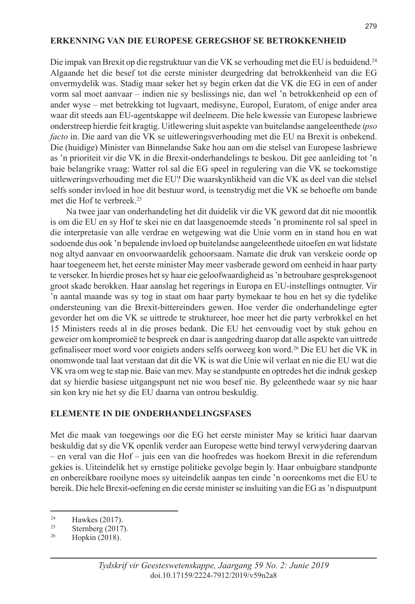#### **ERKENNING VAN DIE EUROPESE GEREGSHOF SE BETROKKENHEID**

Die impak van Brexit op die regstruktuur van die VK se verhouding met die EU is beduidend.24 Algaande het die besef tot die eerste minister deurgedring dat betrokkenheid van die EG onvermydelik was. Stadig maar seker het sy begin erken dat die VK die EG in een of ander vorm sal moet aanvaar – indien nie sy beslissings nie, dan wel 'n betrokkenheid op een of ander wyse – met betrekking tot lugvaart, medisyne, Europol, Euratom, of enige ander area waar dit steeds aan EU-agentskappe wil deelneem. Die hele kwessie van Europese lasbriewe onderstreep hierdie feit kragtig. Uitlewering sluit aspekte van buitelandse aangeleenthede *ipso facto* in. Die aard van die VK se uitleweringsverhouding met die EU na Brexit is onbekend. Die (huidige) Minister van Binnelandse Sake hou aan om die stelsel van Europese lasbriewe as 'n prioriteit vir die VK in die Brexit-onderhandelings te beskou. Dit gee aanleiding tot 'n baie belangrike vraag: Watter rol sal die EG speel in regulering van die VK se toekomstige uitleweringsverhouding met die EU? Die waarskynlikheid van die VK as deel van die stelsel selfs sonder invloed in hoe dit bestuur word, is teenstrydig met die VK se behoefte om bande met die Hof te verbreek.25

Na twee jaar van onderhandeling het dit duidelik vir die VK geword dat dit nie moontlik is om die EU en sy Hof te skei nie en dat laasgenoemde steeds 'n prominente rol sal speel in die interpretasie van alle verdrae en wetgewing wat die Unie vorm en in stand hou en wat sodoende dus ook 'n bepalende invloed op buitelandse aangeleenthede uitoefen en wat lidstate nog altyd aanvaar en onvoorwaardelik gehoorsaam. Namate die druk van verskeie oorde op haar toegeneem het, het eerste minister May meer vasberade geword om eenheid in haar party te verseker. In hierdie proses het sy haar eie geloofwaardigheid as 'n betroubare gespreksgenoot groot skade berokken. Haar aanslag het regerings in Europa en EU-instellings ontnugter. Vir 'n aantal maande was sy tog in staat om haar party bymekaar te hou en het sy die tydelike ondersteuning van die Brexit-bittereinders gewen. Hoe verder die onderhandelinge egter gevorder het om die VK se uittrede te struktureer, hoe meer het die party verbrokkel en het 15 Ministers reeds al in die proses bedank. Die EU het eenvoudig voet by stuk gehou en geweier om kompromieë te bespreek en daar is aangedring daarop dat alle aspekte van uittrede gefinaliseer moet word voor enigiets anders selfs oorweeg kon word.26 Die EU het die VK in onomwonde taal laat verstaan dat dit die VK is wat die Unie wil verlaat en nie die EU wat die VK vra om weg te stap nie. Baie van mev. May se standpunte en optredes het die indruk geskep dat sy hierdie basiese uitgangspunt net nie wou besef nie. By geleenthede waar sy nie haar sin kon kry nie het sy die EU daarna van ontrou beskuldig.

#### **ELEMENTE IN DIE ONDERHANDELINGSFASES**

Met die maak van toegewings oor die EG het eerste minister May se kritici haar daarvan beskuldig dat sy die VK openlik verder aan Europese wette bind terwyl verwydering daarvan – en veral van die Hof – juis een van die hoofredes was hoekom Brexit in die referendum gekies is. Uiteindelik het sy ernstige politieke gevolge begin ly. Haar onbuigbare standpunte en onbereikbare rooilyne moes sy uiteindelik aanpas ten einde 'n ooreenkoms met die EU te bereik. Die hele Brexit-oefening en die eerste minister se insluiting van die EG as 'n dispuutpunt

<sup>&</sup>lt;sup>24</sup> Hawkes (2017).

 $\frac{25}{26}$  Sternberg (2017).

Hopkin (2018).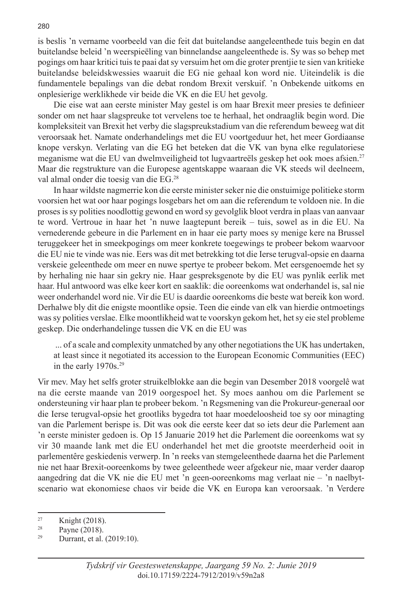is beslis 'n vername voorbeeld van die feit dat buitelandse aangeleenthede tuis begin en dat buitelandse beleid 'n weerspieëling van binnelandse aangeleenthede is. Sy was so behep met pogings om haar kritici tuis te paai dat sy versuim het om die groter prentjie te sien van kritieke buitelandse beleidskwessies waaruit die EG nie gehaal kon word nie. Uiteindelik is die fundamentele bepalings van die debat rondom Brexit verskuif. 'n Onbekende uitkoms en onplesierige werklikhede vir beide die VK en die EU het gevolg.

Die eise wat aan eerste minister May gestel is om haar Brexit meer presies te definieer sonder om net haar slagspreuke tot vervelens toe te herhaal, het ondraaglik begin word. Die kompleksiteit van Brexit het verby die slagspreukstadium van die referendum beweeg wat dit veroorsaak het. Namate onderhandelings met die EU voortgeduur het, het meer Gordiaanse knope verskyn. Verlating van die EG het beteken dat die VK van byna elke regulatoriese meganisme wat die EU van dwelmveiligheid tot lugvaartreëls geskep het ook moes afsien.27 Maar die regstrukture van die Europese agentskappe waaraan die VK steeds wil deelneem, val almal onder die toesig van die EG.28

In haar wildste nagmerrie kon die eerste minister seker nie die onstuimige politieke storm voorsien het wat oor haar pogings losgebars het om aan die referendum te voldoen nie. In die proses is sy polities noodlottig gewond en word sy gevolglik bloot verdra in plaas van aanvaar te word. Vertroue in haar het 'n nuwe laagtepunt bereik – tuis, sowel as in die EU. Na vernederende gebeure in die Parlement en in haar eie party moes sy menige kere na Brussel teruggekeer het in smeekpogings om meer konkrete toegewings te probeer bekom waarvoor die EU nie te vinde was nie. Eers was dit met betrekking tot die Ierse terugval-opsie en daarna verskeie geleenthede om meer en nuwe spertye te probeer bekom. Met eersgenoemde het sy by herhaling nie haar sin gekry nie. Haar gespreksgenote by die EU was pynlik eerlik met haar. Hul antwoord was elke keer kort en saaklik: die ooreenkoms wat onderhandel is, sal nie weer onderhandel word nie. Vir die EU is daardie ooreenkoms die beste wat bereik kon word. Derhalwe bly dit die enigste moontlike opsie. Teen die einde van elk van hierdie ontmoetings was sy polities verslae. Elke moontlikheid wat te voorskyn gekom het, het sy eie stel probleme geskep. Die onderhandelinge tussen die VK en die EU was

 ... of a scale and complexity unmatched by any other negotiations the UK has undertaken, at least since it negotiated its accession to the European Economic Communities (EEC) in the early  $1970s.<sup>29</sup>$ 

Vir mev. May het selfs groter struikelblokke aan die begin van Desember 2018 voorgelê wat na die eerste maande van 2019 oorgespoel het. Sy moes aanhou om die Parlement se ondersteuning vir haar plan te probeer bekom. 'n Regsmening van die Prokureur-generaal oor die Ierse terugval-opsie het grootliks bygedra tot haar moedeloosheid toe sy oor minagting van die Parlement berispe is. Dit was ook die eerste keer dat so iets deur die Parlement aan 'n eerste minister gedoen is. Op 15 Januarie 2019 het die Parlement die ooreenkoms wat sy vir 30 maande lank met die EU onderhandel het met die grootste meerderheid ooit in parlementêre geskiedenis verwerp. In 'n reeks van stemgeleenthede daarna het die Parlement nie net haar Brexit-ooreenkoms by twee geleenthede weer afgekeur nie, maar verder daarop aangedring dat die VK nie die EU met 'n geen-ooreenkoms mag verlaat nie – 'n naelbytscenario wat ekonomiese chaos vir beide die VK en Europa kan veroorsaak. 'n Verdere

<sup>&</sup>lt;sup>27</sup> Knight (2018).<br><sup>28</sup> Payne (2018).<br><sup>29</sup> Durrant et al.

Durrant, et al. (2019:10).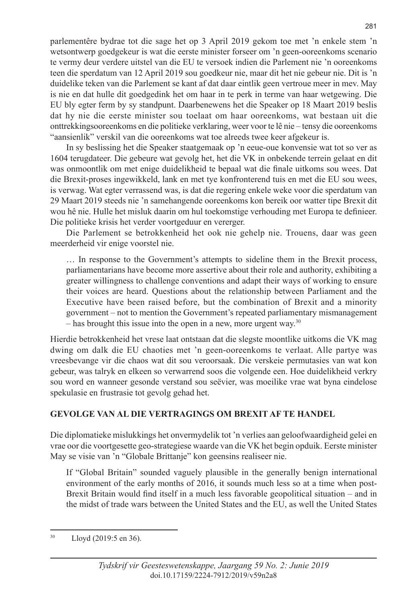parlementêre bydrae tot die sage het op 3 April 2019 gekom toe met 'n enkele stem 'n wetsontwerp goedgekeur is wat die eerste minister forseer om 'n geen-ooreenkoms scenario te vermy deur verdere uitstel van die EU te versoek indien die Parlement nie 'n ooreenkoms teen die sperdatum van 12 April 2019 sou goedkeur nie, maar dit het nie gebeur nie. Dit is 'n duidelike teken van die Parlement se kant af dat daar eintlik geen vertroue meer in mev. May is nie en dat hulle dit goedgedink het om haar in te perk in terme van haar wetgewing. Die EU bly egter ferm by sy standpunt. Daarbenewens het die Speaker op 18 Maart 2019 beslis dat hy nie die eerste minister sou toelaat om haar ooreenkoms, wat bestaan uit die onttrekkingsooreenkoms en die politieke verklaring, weer voor te lê nie – tensy die ooreenkoms "aansienlik" verskil van die ooreenkoms wat toe alreeds twee keer afgekeur is.

In sy beslissing het die Speaker staatgemaak op 'n eeue-oue konvensie wat tot so ver as 1604 terugdateer. Die gebeure wat gevolg het, het die VK in onbekende terrein gelaat en dit was onmoontlik om met enige duidelikheid te bepaal wat die finale uitkoms sou wees. Dat die Brexit-proses ingewikkeld, lank en met tye konfronterend tuis en met die EU sou wees, is verwag. Wat egter verrassend was, is dat die regering enkele weke voor die sperdatum van 29 Maart 2019 steeds nie 'n samehangende ooreenkoms kon bereik oor watter tipe Brexit dit wou hê nie. Hulle het misluk daarin om hul toekomstige verhouding met Europa te definieer. Die politieke krisis het verder voortgeduur en vererger.

Die Parlement se betrokkenheid het ook nie gehelp nie. Trouens, daar was geen meerderheid vir enige voorstel nie.

… In response to the Government's attempts to sideline them in the Brexit process, parliamentarians have become more assertive about their role and authority, exhibiting a greater willingness to challenge conventions and adapt their ways of working to ensure their voices are heard. Questions about the relationship between Parliament and the Executive have been raised before, but the combination of Brexit and a minority government – not to mention the Government's repeated parliamentary mismanagement  $-$  has brought this issue into the open in a new, more urgent way.<sup>30</sup>

Hierdie betrokkenheid het vrese laat ontstaan dat die slegste moontlike uitkoms die VK mag dwing om dalk die EU chaoties met 'n geen-ooreenkoms te verlaat. Alle partye was vreesbevange vir die chaos wat dit sou veroorsaak. Die verskeie permutasies van wat kon gebeur, was talryk en elkeen so verwarrend soos die volgende een. Hoe duidelikheid verkry sou word en wanneer gesonde verstand sou seëvier, was moeilike vrae wat byna eindelose spekulasie en frustrasie tot gevolg gehad het.

# **GEVOLGE VAN AL DIE VERTRAGINGS OM BREXIT AF TE HANDEL**

Die diplomatieke mislukkings het onvermydelik tot 'n verlies aan geloofwaardigheid gelei en vrae oor die voortgesette geo-strategiese waarde van die VK het begin opduik. Eerste minister May se visie van 'n "Globale Brittanje" kon geensins realiseer nie.

If "Global Britain" sounded vaguely plausible in the generally benign international environment of the early months of 2016, it sounds much less so at a time when post-Brexit Britain would find itself in a much less favorable geopolitical situation – and in the midst of trade wars between the United States and the EU, as well the United States

<sup>30</sup> Lloyd (2019:5 en 36).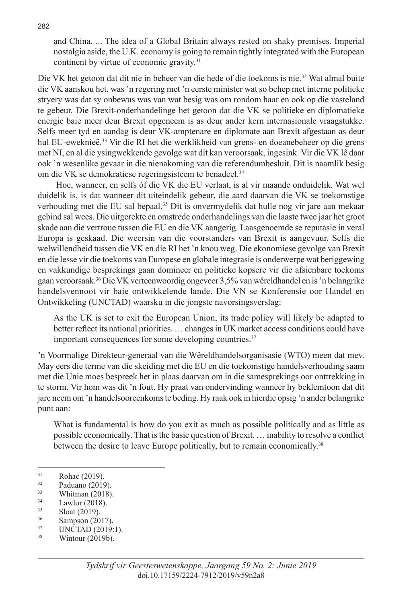and China. ... The idea of a Global Britain always rested on shaky premises. Imperial nostalgia aside, the U.K. economy is going to remain tightly integrated with the European continent by virtue of economic gravity.<sup>31</sup>

Die VK het getoon dat dit nie in beheer van die hede of die toekoms is nie.32 Wat almal buite die VK aanskou het, was 'n regering met 'n eerste minister wat so behep met interne politieke stryery was dat sy onbewus was van wat besig was om rondom haar en ook op die vasteland te gebeur. Die Brexit-onderhandelinge het getoon dat die VK se politieke en diplomatieke energie baie meer deur Brexit opgeneem is as deur ander kern internasionale vraagstukke. Selfs meer tyd en aandag is deur VK-amptenare en diplomate aan Brexit afgestaan as deur hul EU-eweknieë.33 Vir die RI het die werklikheid van grens- en doeanebeheer op die grens met NI, en al die ysingwekkende gevolge wat dit kan veroorsaak, ingesink. Vir die VK lê daar ook 'n wesenlike gevaar in die nienakoming van die referendumbesluit. Dit is naamlik besig om die VK se demokratiese regeringsisteem te benadeel.<sup>34</sup>

 Hoe, wanneer, en selfs όf die VK die EU verlaat, is al vir maande onduidelik. Wat wel duidelik is, is dat wanneer dit uiteindelik gebeur, die aard daarvan die VK se toekomstige verhouding met die EU sal bepaal.35 Dit is onvermydelik dat hulle nog vir jare aan mekaar gebind sal wees. Die uitgerekte en omstrede onderhandelings van die laaste twee jaar het groot skade aan die vertroue tussen die EU en die VK aangerig. Laasgenoemde se reputasie in veral Europa is geskaad. Die weersin van die voorstanders van Brexit is aangevuur. Selfs die welwillendheid tussen die VK en die RI het 'n knou weg. Die ekonomiese gevolge van Brexit en die lesse vir die toekoms van Europese en globale integrasie is onderwerpe wat beriggewing en vakkundige besprekings gaan domineer en politieke kopsere vir die afsienbare toekoms gaan veroorsaak.36 Die VK verteenwoordig ongeveer 3,5% van wêreldhandel en is 'n belangrike handelsvennoot vir baie ontwikkelende lande. Die VN se Konferensie oor Handel en Ontwikkeling (UNCTAD) waarsku in die jongste navorsingsverslag:

As the UK is set to exit the European Union, its trade policy will likely be adapted to better reflect its national priorities. … changes in UK market access conditions could have important consequences for some developing countries.<sup>37</sup>

'n Voormalige Direkteur-generaal van die Wêreldhandelsorganisasie (WTO) meen dat mev. May eers die terme van die skeiding met die EU en die toekomstige handelsverhouding saam met die Unie moes bespreek het in plaas daarvan om in die samesprekings oor onttrekking in te storm. Vir hom was dit 'n fout. Hy praat van ondervinding wanneer hy beklemtoon dat dit jare neem om 'n handelsooreenkoms te beding. Hy raak ook in hierdie opsig 'n ander belangrike punt aan:

What is fundamental is how do you exit as much as possible politically and as little as possible economically. That is the basic question of Brexit. … inability to resolve a conflict between the desire to leave Europe politically, but to remain economically.<sup>38</sup>

- $\frac{34}{35}$  Lawlor (2018).
- $\frac{35}{36}$  Sloat (2019).
- 

 $Rohac (2019)$ .<br>32 Rodueno (2010)

 $\frac{32}{33}$  Paduano (2019).<br>Whitman (2018)

 $\frac{33}{34}$  Whitman (2018).

<sup>&</sup>lt;sup>36</sup> Sampson (2017).<br><sup>37</sup> UNCTAD (2019:1).<br><sup>38</sup> Wintour (2019b).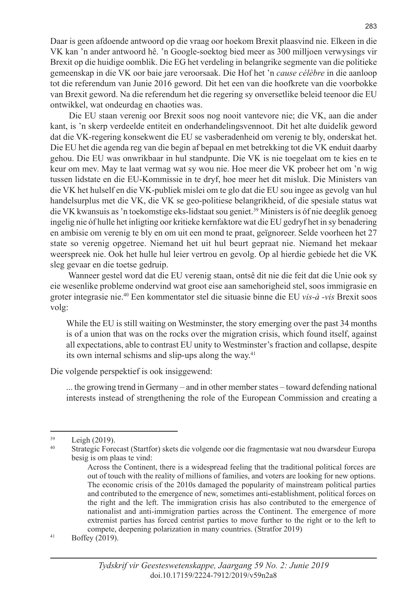Daar is geen afdoende antwoord op die vraag oor hoekom Brexit plaasvind nie. Elkeen in die VK kan 'n ander antwoord hê. 'n Google-soektog bied meer as 300 milljoen verwysings vir Brexit op die huidige oomblik. Die EG het verdeling in belangrike segmente van die politieke gemeenskap in die VK oor baie jare veroorsaak. Die Hof het 'n *cause célèbre* in die aanloop tot die referendum van Junie 2016 geword. Dit het een van die hoofkrete van die voorbokke van Brexit geword. Na die referendum het die regering sy onversetlike beleid teenoor die EU ontwikkel, wat ondeurdag en chaoties was.

 Die EU staan verenig oor Brexit soos nog nooit vantevore nie; die VK, aan die ander kant, is 'n skerp verdeelde entiteit en onderhandelingsvennoot. Dit het alte duidelik geword dat die VK-regering konsekwent die EU se vasberadenheid om verenig te bly, onderskat het. Die EU het die agenda reg van die begin af bepaal en met betrekking tot die VK enduit daarby gehou. Die EU was onwrikbaar in hul standpunte. Die VK is nie toegelaat om te kies en te keur om mev. May te laat vermag wat sy wou nie. Hoe meer die VK probeer het om 'n wig tussen lidstate en die EU-Kommissie in te dryf, hoe meer het dit misluk. Die Ministers van die VK het hulself en die VK-publiek mislei om te glo dat die EU sou ingee as gevolg van hul handelsurplus met die VK, die VK se geo-politiese belangrikheid, of die spesiale status wat die VK kwansuis as 'n toekomstige eks-lidstaat sou geniet.39 Ministers is óf nie deeglik genoeg ingelig nie óf hulle het inligting oor kritieke kernfaktore wat die EU gedryf het in sy benadering en ambisie om verenig te bly en om uit een mond te praat, geïgnoreer. Selde voorheen het 27 state so verenig opgetree. Niemand het uit hul beurt gepraat nie. Niemand het mekaar weerspreek nie. Ook het hulle hul leier vertrou en gevolg. Op al hierdie gebiede het die VK sleg gevaar en die toetse gedruip.

 Wanneer gestel word dat die EU verenig staan, ontsê dit nie die feit dat die Unie ook sy eie wesenlike probleme ondervind wat groot eise aan samehorigheid stel, soos immigrasie en groter integrasie nie.40 Een kommentator stel die situasie binne die EU *vis-à -vis* Brexit soos volg:

While the EU is still waiting on Westminster, the story emerging over the past 34 months is of a union that was on the rocks over the migration crisis, which found itself, against all expectations, able to contrast EU unity to Westminster's fraction and collapse, despite its own internal schisms and slip-ups along the way.<sup>41</sup>

Die volgende perspektief is ook insiggewend:

... the growing trend in Germany – and in other member states – toward defending national interests instead of strengthening the role of the European Commission and creating a

 $^{41}$  Boffey (2019).

 $\frac{39}{40}$  Leigh (2019).

Strategic Forecast (Startfor) skets die volgende oor die fragmentasie wat nou dwarsdeur Europa besig is om plaas te vind:

Across the Continent, there is a widespread feeling that the traditional political forces are out of touch with the reality of millions of families, and voters are looking for new options. The economic crisis of the 2010s damaged the popularity of mainstream political parties and contributed to the emergence of new, sometimes anti-establishment, political forces on the right and the left. The immigration crisis has also contributed to the emergence of nationalist and anti-immigration parties across the Continent. The emergence of more extremist parties has forced centrist parties to move further to the right or to the left to compete, deepening polarization in many countries. (Stratfor 2019)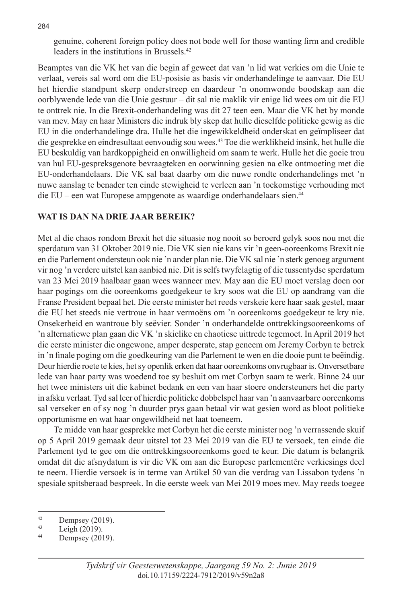genuine, coherent foreign policy does not bode well for those wanting firm and credible leaders in the institutions in Brussels.42

Beamptes van die VK het van die begin af geweet dat van 'n lid wat verkies om die Unie te verlaat, vereis sal word om die EU-posisie as basis vir onderhandelinge te aanvaar. Die EU het hierdie standpunt skerp onderstreep en daardeur 'n onomwonde boodskap aan die oorblywende lede van die Unie gestuur – dit sal nie maklik vir enige lid wees om uit die EU te onttrek nie. In die Brexit-onderhandeling was dit 27 teen een. Maar die VK het by monde van mev. May en haar Ministers die indruk bly skep dat hulle dieselfde politieke gewig as die EU in die onderhandelinge dra. Hulle het die ingewikkeldheid onderskat en geïmpliseer dat die gesprekke en eindresultaat eenvoudig sou wees.43 Toe die werklikheid insink, het hulle die EU beskuldig van hardkoppigheid en onwilligheid om saam te werk. Hulle het die goeie trou van hul EU-gespreksgenote bevraagteken en oorwinning gesien na elke ontmoeting met die EU-onderhandelaars. Die VK sal baat daarby om die nuwe rondte onderhandelings met 'n nuwe aanslag te benader ten einde stewigheid te verleen aan 'n toekomstige verhouding met die EU – een wat Europese ampgenote as waardige onderhandelaars sien.44

# **WAT IS DAN NA DRIE JAAR BEREIK?**

Met al die chaos rondom Brexit het die situasie nog nooit so beroerd gelyk soos nou met die sperdatum van 31 Oktober 2019 nie. Die VK sien nie kans vir 'n geen-ooreenkoms Brexit nie en die Parlement ondersteun ook nie 'n ander plan nie. Die VK sal nie 'n sterk genoeg argument vir nog 'n verdere uitstel kan aanbied nie. Dit is selfs twyfelagtig of die tussentydse sperdatum van 23 Mei 2019 haalbaar gaan wees wanneer mev. May aan die EU moet verslag doen oor haar pogings om die ooreenkoms goedgekeur te kry soos wat die EU op aandrang van die Franse President bepaal het. Die eerste minister het reeds verskeie kere haar saak gestel, maar die EU het steeds nie vertroue in haar vermoëns om 'n ooreenkoms goedgekeur te kry nie. Onsekerheid en wantroue bly seëvier. Sonder 'n onderhandelde onttrekkingsooreenkoms of 'n alternatiewe plan gaan die VK 'n skielike en chaotiese uittrede tegemoet. In April 2019 het die eerste minister die ongewone, amper desperate, stap geneem om Jeremy Corbyn te betrek in 'n finale poging om die goedkeuring van die Parlement te wen en die dooie punt te beëindig. Deur hierdie roete te kies, het sy openlik erken dat haar ooreenkoms onvrugbaar is. Onversetbare lede van haar party was woedend toe sy besluit om met Corbyn saam te werk. Binne 24 uur het twee ministers uit die kabinet bedank en een van haar stoere ondersteuners het die party in afsku verlaat. Tyd sal leer of hierdie politieke dobbelspel haar van 'n aanvaarbare ooreenkoms sal verseker en of sy nog 'n duurder prys gaan betaal vir wat gesien word as bloot politieke opportunisme en wat haar ongewildheid net laat toeneem.

Te midde van haar gesprekke met Corbyn het die eerste minister nog 'n verrassende skuif op 5 April 2019 gemaak deur uitstel tot 23 Mei 2019 van die EU te versoek, ten einde die Parlement tyd te gee om die onttrekkingsooreenkoms goed te keur. Die datum is belangrik omdat dit die afsnydatum is vir die VK om aan die Europese parlementêre verkiesings deel te neem. Hierdie versoek is in terme van Artikel 50 van die verdrag van Lissabon tydens 'n spesiale spitsberaad bespreek. In die eerste week van Mei 2019 moes mev. May reeds toegee

<sup>&</sup>lt;sup>42</sup> Dempsey (2019).<br> $I_{\text{eich}}(2019)$ .

 $\frac{43}{44}$  Leigh (2019).

Dempsey (2019).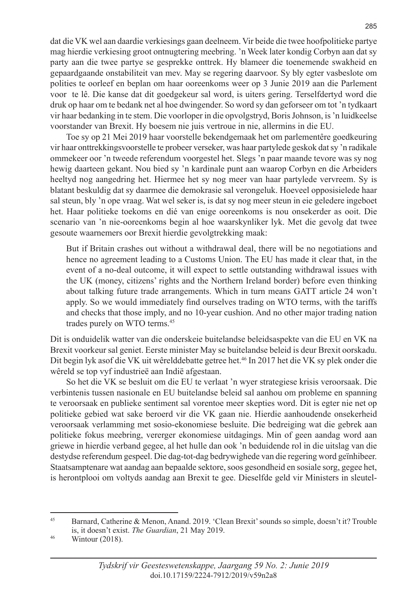dat die VK wel aan daardie verkiesings gaan deelneem. Vir beide die twee hoofpolitieke partye mag hierdie verkiesing groot ontnugtering meebring. 'n Week later kondig Corbyn aan dat sy party aan die twee partye se gesprekke onttrek. Hy blameer die toenemende swakheid en gepaardgaande onstabiliteit van mev. May se regering daarvoor. Sy bly egter vasbeslote om polities te oorleef en beplan om haar ooreenkoms weer op 3 Junie 2019 aan die Parlement voor te lê. Die kanse dat dit goedgekeur sal word, is uiters gering. Terselfdertyd word die druk op haar om te bedank net al hoe dwingender. So word sy dan geforseer om tot 'n tydkaart vir haar bedanking in te stem. Die voorloper in die opvolgstryd, Boris Johnson, is 'n luidkeelse voorstander van Brexit. Hy boesem nie juis vertroue in nie, allermins in die EU.

Toe sy op 21 Mei 2019 haar voorstelle bekendgemaak het om parlementêre goedkeuring vir haar onttrekkingsvoorstelle te probeer verseker, was haar partylede geskok dat sy 'n radikale ommekeer oor 'n tweede referendum voorgestel het. Slegs 'n paar maande tevore was sy nog hewig daarteen gekant. Nou bied sy 'n kardinale punt aan waarop Corbyn en die Arbeiders heeltyd nog aangedring het. Hiermee het sy nog meer van haar partylede vervreem. Sy is blatant beskuldig dat sy daarmee die demokrasie sal verongeluk. Hoeveel opposisielede haar sal steun, bly 'n ope vraag. Wat wel seker is, is dat sy nog meer steun in eie geledere ingeboet het. Haar politieke toekoms en dié van enige ooreenkoms is nou onsekerder as ooit. Die scenario van 'n nie-ooreenkoms begin al hoe waarskynliker lyk. Met die gevolg dat twee gesoute waarnemers oor Brexit hierdie gevolgtrekking maak:

But if Britain crashes out without a withdrawal deal, there will be no negotiations and hence no agreement leading to a Customs Union. The EU has made it clear that, in the event of a no-deal outcome, it will expect to settle outstanding withdrawal issues with the UK (money, citizens' rights and the Northern Ireland border) before even thinking about talking future trade arrangements. Which in turn means GATT article 24 won't apply. So we would immediately find ourselves trading on WTO terms, with the tariffs and checks that those imply, and no 10-year cushion. And no other major trading nation trades purely on WTO terms.<sup>45</sup>

Dit is onduidelik watter van die onderskeie buitelandse beleidsaspekte van die EU en VK na Brexit voorkeur sal geniet. Eerste minister May se buitelandse beleid is deur Brexit oorskadu. Dit begin lyk asof die VK uit wêrelddebatte getree het.<sup>46</sup> In 2017 het die VK sy plek onder die wêreld se top vyf industrieë aan Indië afgestaan.

So het die VK se besluit om die EU te verlaat 'n wyer strategiese krisis veroorsaak. Die verbintenis tussen nasionale en EU buitelandse beleid sal aanhou om probleme en spanning te veroorsaak en publieke sentiment sal vorentoe meer skepties word. Dit is egter nie net op politieke gebied wat sake beroerd vir die VK gaan nie. Hierdie aanhoudende onsekerheid veroorsaak verlamming met sosio-ekonomiese besluite. Die bedreiging wat die gebrek aan politieke fokus meebring, vererger ekonomiese uitdagings. Min of geen aandag word aan griewe in hierdie verband gegee, al het hulle dan ook 'n beduidende rol in die uitslag van die destydse referendum gespeel. Die dag-tot-dag bedrywighede van die regering word geïnhibeer. Staatsamptenare wat aandag aan bepaalde sektore, soos gesondheid en sosiale sorg, gegee het, is herontplooi om voltyds aandag aan Brexit te gee. Dieselfde geld vir Ministers in sleutel-

285

<sup>45</sup> Barnard, Catherine & Menon, Anand. 2019. 'Clean Brexit' sounds so simple, doesn't it? Trouble is, it doesn't exist. *The Guardian*, 21 May 2019.<br><sup>46</sup> Wintour (2018).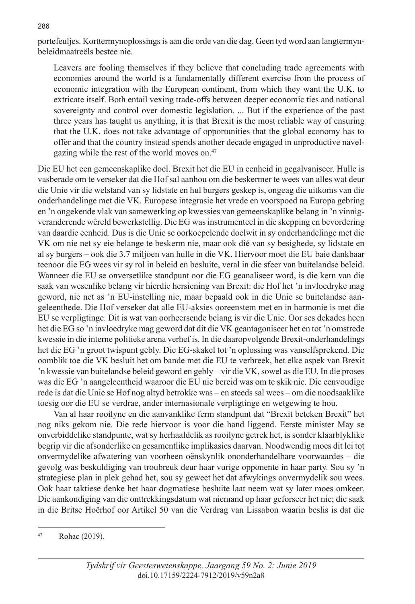portefeuljes. Korttermynoplossings is aan die orde van die dag. Geen tyd word aan langtermynbeleidmaatreëls bestee nie.

Leavers are fooling themselves if they believe that concluding trade agreements with economies around the world is a fundamentally different exercise from the process of economic integration with the European continent, from which they want the U.K. to extricate itself. Both entail vexing trade-offs between deeper economic ties and national sovereignty and control over domestic legislation. ... But if the experience of the past three years has taught us anything, it is that Brexit is the most reliable way of ensuring that the U.K. does not take advantage of opportunities that the global economy has to offer and that the country instead spends another decade engaged in unproductive navelgazing while the rest of the world moves on.<sup>47</sup>

Die EU het een gemeenskaplike doel. Brexit het die EU in eenheid in gegalvaniseer. Hulle is vasberade om te verseker dat die Hof sal aanhou om die beskermer te wees van alles wat deur die Unie vir die welstand van sy lidstate en hul burgers geskep is, ongeag die uitkoms van die onderhandelinge met die VK. Europese integrasie het vrede en voorspoed na Europa gebring en 'n ongekende vlak van samewerking op kwessies van gemeenskaplike belang in 'n vinnigveranderende wêreld bewerkstellig. Die EG was instrumenteel in die skepping en bevordering van daardie eenheid. Dus is die Unie se oorkoepelende doelwit in sy onderhandelinge met die VK om nie net sy eie belange te beskerm nie, maar ook dié van sy besighede, sy lidstate en al sy burgers – ook die 3.7 miljoen van hulle in die VK. Hiervoor moet die EU baie dankbaar teenoor die EG wees vir sy rol in beleid en besluite, veral in die sfeer van buitelandse beleid. Wanneer die EU se onversetlike standpunt oor die EG geanaliseer word, is die kern van die saak van wesenlike belang vir hierdie hersiening van Brexit: die Hof het 'n invloedryke mag geword, nie net as 'n EU-instelling nie, maar bepaald ook in die Unie se buitelandse aangeleenthede. Die Hof verseker dat alle EU-aksies ooreenstem met en in harmonie is met die EU se verpligtinge. Dit is wat van oorheersende belang is vir die Unie. Oor ses dekades heen het die EG so 'n invloedryke mag geword dat dit die VK geantagoniseer het en tot 'n omstrede kwessie in die interne politieke arena verhef is. In die daaropvolgende Brexit-onderhandelings het die EG 'n groot twispunt gebly. Die EG-skakel tot 'n oplossing was vanselfsprekend. Die oomblik toe die VK besluit het om bande met die EU te verbreek, het elke aspek van Brexit 'n kwessie van buitelandse beleid geword en gebly – vir die VK, sowel as die EU. In die proses was die EG 'n aangeleentheid waaroor die EU nie bereid was om te skik nie. Die eenvoudige rede is dat die Unie se Hof nog altyd betrokke was – en steeds sal wees – om die noodsaaklike toesig oor die EU se verdrae, ander internasionale verpligtinge en wetgewing te hou.

Van al haar rooilyne en die aanvanklike ferm standpunt dat "Brexit beteken Brexit" het nog niks gekom nie. Die rede hiervoor is voor die hand liggend. Eerste minister May se onverbiddelike standpunte, wat sy herhaaldelik as rooilyne getrek het, is sonder klaarblyklike begrip vir die afsonderlike en gesamentlike implikasies daarvan. Noodwendig moes dit lei tot onvermydelike afwatering van voorheen oënskynlik ononderhandelbare voorwaardes – die gevolg was beskuldiging van troubreuk deur haar vurige opponente in haar party. Sou sy 'n strategiese plan in plek gehad het, sou sy geweet het dat afwykings onvermydelik sou wees. Ook haar taktiese denke het haar dogmatiese besluite laat neem wat sy later moes omkeer. Die aankondiging van die onttrekkingsdatum wat niemand op haar geforseer het nie; die saak in die Britse Hoërhof oor Artikel 50 van die Verdrag van Lissabon waarin beslis is dat die

<sup>47</sup> Rohac (2019).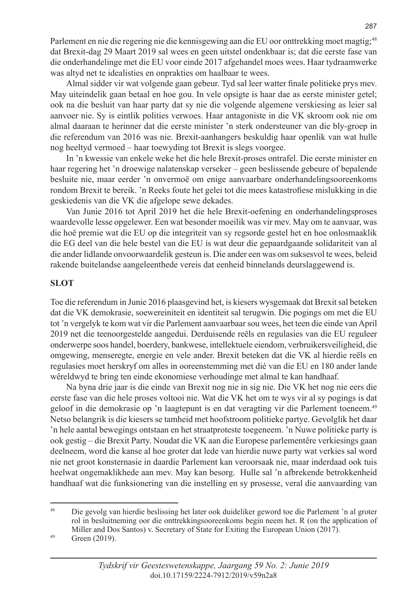Parlement en nie die regering nie die kennisgewing aan die EU oor onttrekking moet magtig;<sup>48</sup> dat Brexit-dag 29 Maart 2019 sal wees en geen uitstel ondenkbaar is; dat die eerste fase van die onderhandelinge met die EU voor einde 2017 afgehandel moes wees. Haar tydraamwerke was altyd net te idealisties en onprakties om haalbaar te wees.

Almal sidder vir wat volgende gaan gebeur. Tyd sal leer watter finale politieke prys mev. May uiteindelik gaan betaal en hoe gou. In vele opsigte is haar dae as eerste minister getel; ook na die besluit van haar party dat sy nie die volgende algemene verskiesing as leier sal aanvoer nie. Sy is eintlik polities verwoes. Haar antagoniste in die VK skroom ook nie om almal daaraan te herinner dat die eerste minister 'n sterk ondersteuner van die bly-groep in die referendum van 2016 was nie. Brexit-aanhangers beskuldig haar openlik van wat hulle nog heeltyd vermoed – haar toewyding tot Brexit is slegs voorgee.

In 'n kwessie van enkele weke het die hele Brexit-proses ontrafel. Die eerste minister en haar regering het 'n droewige nalatenskap verseker – geen beslissende gebeure of bepalende besluite nie, maar eerder 'n onvermoë om enige aanvaarbare onderhandelingsooreenkoms rondom Brexit te bereik. 'n Reeks foute het gelei tot die mees katastrofiese mislukking in die geskiedenis van die VK die afgelope sewe dekades.

Van Junie 2016 tot April 2019 het die hele Brexit-oefening en onderhandelingsproses waardevolle lesse opgelewer. Een wat besonder moeilik was vir mev. May om te aanvaar, was die hoë premie wat die EU op die integriteit van sy regsorde gestel het en hoe onlosmaaklik die EG deel van die hele bestel van die EU is wat deur die gepaardgaande solidariteit van al die ander lidlande onvoorwaardelik gesteun is. Die ander een was om suksesvol te wees, beleid rakende buitelandse aangeleenthede vereis dat eenheid binnelands deurslaggewend is.

## **SLOT**

Toe die referendum in Junie 2016 plaasgevind het, is kiesers wysgemaak dat Brexit sal beteken dat die VK demokrasie, soewereiniteit en identiteit sal terugwin. Die pogings om met die EU tot 'n vergelyk te kom wat vir die Parlement aanvaarbaar sou wees, het teen die einde van April 2019 net die teenoorgestelde aangedui. Derduisende reëls en regulasies van die EU reguleer onderwerpe soos handel, boerdery, bankwese, intellektuele eiendom, verbruikersveiligheid, die omgewing, menseregte, energie en vele ander. Brexit beteken dat die VK al hierdie reëls en regulasies moet herskryf om alles in ooreenstemming met dié van die EU en 180 ander lande wêreldwyd te bring ten einde ekonomiese verhoudinge met almal te kan handhaaf.

Na byna drie jaar is die einde van Brexit nog nie in sig nie. Die VK het nog nie eers die eerste fase van die hele proses voltooi nie. Wat die VK het om te wys vir al sy pogings is dat geloof in die demokrasie op 'n laagtepunt is en dat veragting vir die Parlement toeneem.49 Netso belangrik is die kiesers se tamheid met hoofstroom politieke partye. Gevolglik het daar 'n hele aantal bewegings ontstaan en het straatproteste toegeneem. 'n Nuwe politieke party is ook gestig – die Brexit Party. Noudat die VK aan die Europese parlementêre verkiesings gaan deelneem, word die kanse al hoe groter dat lede van hierdie nuwe party wat verkies sal word nie net groot konsternasie in daardie Parlement kan veroorsaak nie, maar inderdaad ook tuis heelwat ongemaklikhede aan mev. May kan besorg. Hulle sal 'n afbrekende betrokkenheid handhaaf wat die funksionering van die instelling en sy prosesse, veral die aanvaarding van

<sup>49</sup> Green (2019).

<sup>48</sup> Die gevolg van hierdie beslissing het later ook duideliker geword toe die Parlement 'n al groter rol in besluitneming oor die onttrekkingsooreenkoms begin neem het. R (on the application of Miller and Dos Santos) v. Secretary of State for Exiting the European Union (2017).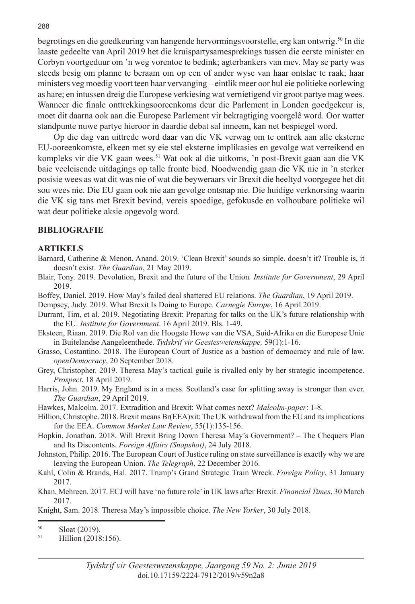begrotings en die goedkeuring van hangende hervormingsvoorstelle, erg kan ontwrig.50 In die laaste gedeelte van April 2019 het die kruispartysamesprekings tussen die eerste minister en Corbyn voortgeduur om 'n weg vorentoe te bedink; agterbankers van mev. May se party was steeds besig om planne te beraam om op een of ander wyse van haar ontslae te raak; haar ministers veg moedig voort teen haar vervanging – eintlik meer oor hul eie politieke oorlewing as hare; en intussen dreig die Europese verkiesing wat vernietigend vir groot partye mag wees. Wanneer die finale onttrekkingsooreenkoms deur die Parlement in Londen goedgekeur is, moet dit daarna ook aan die Europese Parlement vir bekragtiging voorgelê word. Oor watter standpunte nuwe partye hieroor in daardie debat sal inneem, kan net bespiegel word.

Op die dag van uittrede word daar van die VK verwag om te onttrek aan alle eksterne EU-ooreenkomste, elkeen met sy eie stel eksterne implikasies en gevolge wat verreikend en kompleks vir die VK gaan wees.<sup>51</sup> Wat ook al die uitkoms, 'n post-Brexit gaan aan die VK baie veeleisende uitdagings op talle fronte bied. Noodwendig gaan die VK nie in 'n sterker posisie wees as wat dit was nie of wat die beyweraars vir Brexit die heeltyd voorgegee het dit sou wees nie. Die EU gaan ook nie aan gevolge ontsnap nie. Die huidige verknorsing waarin die VK sig tans met Brexit bevind, vereis spoedige, gefokusde en volhoubare politieke wil wat deur politieke aksie opgevolg word.

## **BIBLIOGRAFIE**

#### **ARTIKELS**

- Barnard, Catherine & Menon, Anand. 2019. 'Clean Brexit' sounds so simple, doesn't it? Trouble is, it doesn't exist. *The Guardian*, 21 May 2019.
- Blair, Tony. 2019. Devolution, Brexit and the future of the Union*. Institute for Government*, 29 April 2019.
- Boffey, Daniel. 2019. How May's failed deal shattered EU relations. *The Guardian*, 19 April 2019.

Dempsey, Judy. 2019. What Brexit Is Doing to Europe. *Carnegie Europe*, 16 April 2019.

- Durrant, Tim, et al. 2019. Negotiating Brexit: Preparing for talks on the UK's future relationship with the EU. *Institute for Government*. 16 April 2019. Bls. 1-49.
- Eksteen, Riaan. 2019. Die Rol van die Hoogste Howe van die VSA, Suid-Afrika en die Europese Unie in Buitelandse Aangeleenthede. *Tydskrif vir Geesteswetenskappe,* 59(1):1-16.
- Grasso, Costantino. 2018. The European Court of Justice as a bastion of democracy and rule of law. *openDemocracy*, 20 September 2018.
- Grey, Christopher. 2019. Theresa May's tactical guile is rivalled only by her strategic incompetence. *Prospect*, 18 April 2019.
- Harris, John. 2019. My England is in a mess. Scotland's case for splitting away is stronger than ever. *The Guardian*, 29 April 2019.
- Hawkes, Malcolm. 2017. Extradition and Brexit: What comes next? *Malcolm-paper*: 1-8.
- Hillion, Christophe. 2018. Brexit means Br(EEA)xit: The UK withdrawal from the EU and its implications for the EEA. *Common Market Law Review*, 55(1):135-156.
- Hopkin, Jonathan. 2018. Will Brexit Bring Down Theresa May's Government? The Chequers Plan and Its Discontents. *Foreign Affairs (Snapshot)*, 24 July 2018.
- Johnston, Philip. 2016. The European Court of Justice ruling on state surveillance is exactly why we are leaving the European Union. *The Telegraph*, 22 December 2016.
- Kahl, Colin & Brands, Hal. 2017. Trump's Grand Strategic Train Wreck. *Foreign Policy*, 31 January 2017.
- Khan, Mehreen. 2017. ECJ will have 'no future role' in UK laws after Brexit. *Financial Times*, 30 March 2017.

Knight, Sam. 2018. Theresa May's impossible choice. *The New Yorker*, 30 July 2018.

 $\frac{50}{51}$  Sloat (2019).

Hillion (2018:156).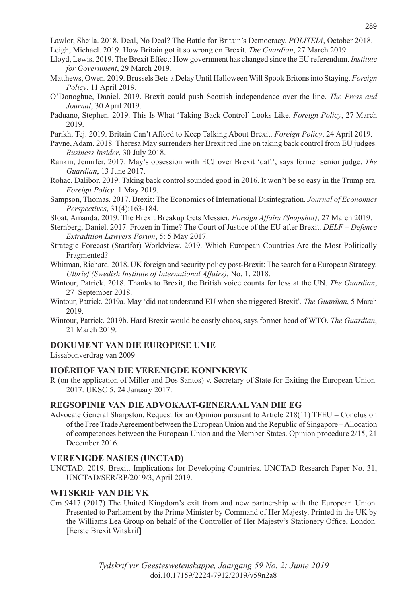Lawlor, Sheila. 2018. Deal, No Deal? The Battle for Britain's Democracy. *POLITEIA*, October 2018.

- Leigh, Michael. 2019. How Britain got it so wrong on Brexit. *The Guardian*, 27 March 2019.
- Lloyd, Lewis. 2019. The Brexit Effect: How government has changed since the EU referendum. *Institute for Government*, 29 March 2019.
- Matthews, Owen. 2019. Brussels Bets a Delay Until Halloween Will Spook Britons into Staying. *Foreign Policy*. 11 April 2019.
- O'Donoghue, Daniel. 2019. Brexit could push Scottish independence over the line. *The Press and Journal*, 30 April 2019.
- Paduano, Stephen. 2019. This Is What 'Taking Back Control' Looks Like. *Foreign Policy*, 27 March 2019.
- Parikh, Tej. 2019. Britain Can't Afford to Keep Talking About Brexit. *Foreign Policy*, 24 April 2019.
- Payne, Adam. 2018. Theresa May surrenders her Brexit red line on taking back control from EU judges. *Business Insider*, 30 July 2018.
- Rankin, Jennifer. 2017. May's obsession with ECJ over Brexit 'daft', says former senior judge. *The Guardian*, 13 June 2017.
- Rohac, Dalibor. 2019. Taking back control sounded good in 2016. It won't be so easy in the Trump era. *Foreign Policy*. 1 May 2019.
- Sampson, Thomas. 2017. Brexit: The Economics of International Disintegration. *Journal of Economics Perspectives*, 31(4):163-184.
- Sloat, Amanda. 2019. The Brexit Breakup Gets Messier. *Foreign Affairs (Snapshot)*, 27 March 2019.
- Sternberg, Daniel. 2017. Frozen in Time? The Court of Justice of the EU after Brexit. *DELF Defence Extradition Lawyers Forum*, 5: 5 May 2017.
- Strategic Forecast (Startfor) Worldview. 2019. Which European Countries Are the Most Politically Fragmented?
- Whitman, Richard. 2018. UK foreign and security policy post-Brexit: The search for a European Strategy. *Ulbrief (Swedish Institute of International Affairs)*, No. 1, 2018.
- Wintour, Patrick. 2018. Thanks to Brexit, the British voice counts for less at the UN. *The Guardian*, 27 September 2018.
- Wintour, Patrick. 2019a. May 'did not understand EU when she triggered Brexit'. *The Guardian*, 5 March 2019.
- Wintour, Patrick. 2019b. Hard Brexit would be costly chaos, says former head of WTO. *The Guardian*, 21 March 2019.

## **DOKUMENT VAN DIE EUROPESE UNIE**

Lissabonverdrag van 2009

# **HOëRHOF VAN DIE VERENIGDE KONINKRYK**

R (on the application of Miller and Dos Santos) v. Secretary of State for Exiting the European Union. 2017. UKSC 5, 24 January 2017.

# **REGSOPINIE VAN DIE ADVOKAAT-GENERAAL VAN DIE EG**

Advocate General Sharpston. Request for an Opinion pursuant to Article 218(11) TFEU – Conclusion of the Free Trade Agreement between the European Union and the Republic of Singapore – Allocation of competences between the European Union and the Member States. Opinion procedure 2/15, 21 December 2016.

# **VERENIGDE NASIES (UNCTAD)**

UNCTAD. 2019. Brexit. Implications for Developing Countries. UNCTAD Research Paper No. 31, UNCTAD/SER/RP/2019/3, April 2019.

# **WITSKRIF VAN DIE VK**

Cm 9417 (2017) The United Kingdom's exit from and new partnership with the European Union. Presented to Parliament by the Prime Minister by Command of Her Majesty. Printed in the UK by the Williams Lea Group on behalf of the Controller of Her Majesty's Stationery Office, London. [Eerste Brexit Witskrif]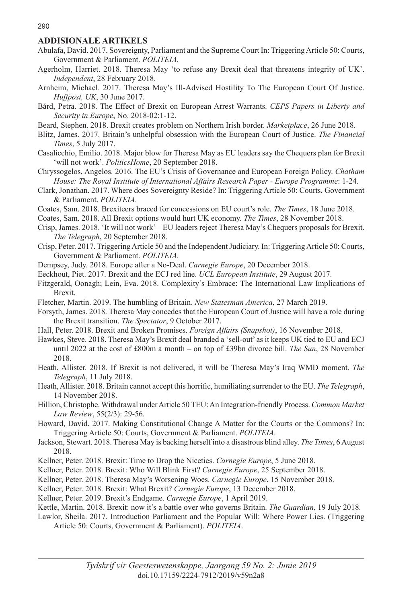#### **ADDISIONALE ARTIKELS**

- Abulafa, David. 2017. Sovereignty, Parliament and the Supreme Court In: Triggering Article 50: Courts, Government & Parliament. *POLITEIA.*
- Agerholm, Harriet. 2018. Theresa May 'to refuse any Brexit deal that threatens integrity of UK'. *Independent*, 28 February 2018.
- Arnheim, Michael. 2017. Theresa May's Ill-Advised Hostility To The European Court Of Justice. *Huffpost, UK*, 30 June 2017.
- Bárd, Petra. 2018. The Effect of Brexit on European Arrest Warrants. *CEPS Papers in Liberty and Security in Europe*, No. 2018-02:1-12.
- Beard, Stephen. 2018. Brexit creates problem on Northern Irish border. *Marketplace*, 26 June 2018.
- Blitz, James. 2017. Britain's unhelpful obsession with the European Court of Justice. *The Financial Times*, 5 July 2017.
- Casalicchio, Emilio. 2018. Major blow for Theresa May as EU leaders say the Chequers plan for Brexit 'will not work'. *PoliticsHome*, 20 September 2018.
- Chryssogelos, Angelos. 2016. The EU's Crisis of Governance and European Foreign Policy. *Chatham House: The Royal Institute of International Affairs Research Paper - Europe Programme*: 1-24.
- Clark, Jonathan. 2017. Where does Sovereignty Reside? In: Triggering Article 50: Courts, Government & Parliament. *POLITEIA*.
- Coates, Sam. 2018. Brexiteers braced for concessions on EU court's role. *The Times*, 18 June 2018.
- Coates, Sam. 2018. All Brexit options would hurt UK economy. *The Times*, 28 November 2018.
- Crisp, James. 2018. 'It will not work' EU leaders reject Theresa May's Chequers proposals for Brexit. *The Telegraph*, 20 September 2018.
- Crisp, Peter. 2017. Triggering Article 50 and the Independent Judiciary. In: Triggering Article 50: Courts, Government & Parliament. *POLITEIA*.
- Dempsey, Judy. 2018. Europe after a No-Deal. *Carnegie Europe*, 20 December 2018.
- Eeckhout, Piet. 2017. Brexit and the ECJ red line. *UCL European Institute*, 29 August 2017.
- Fitzgerald, Oonagh; Lein, Eva. 2018. Complexity's Embrace: The International Law Implications of Brexit.
- Fletcher, Martin. 2019. The humbling of Britain. *New Statesman America*, 27 March 2019.
- Forsyth, James. 2018. Theresa May concedes that the European Court of Justice will have a role during the Brexit transition. *The Spectator*, 9 October 2017.
- Hall, Peter. 2018. Brexit and Broken Promises. *Foreign Affairs (Snapshot)*, 16 November 2018.
- Hawkes, Steve. 2018. Theresa May's Brexit deal branded a 'sell-out' as it keeps UK tied to EU and ECJ until 2022 at the cost of £800m a month – on top of £39bn divorce bill. *The Sun*, 28 November 2018.
- Heath, Allister. 2018. If Brexit is not delivered, it will be Theresa May's Iraq WMD moment. *The Telegraph*, 11 July 2018.
- Heath, Allister. 2018. Britain cannot accept this horrific, humiliating surrender to the EU. *The Telegraph*, 14 November 2018.
- Hillion, Christophe. Withdrawal under Article 50 TEU: An Integration-friendly Process. *Common Market Law Review*, 55(2/3): 29-56.
- Howard, David. 2017. Making Constitutional Change A Matter for the Courts or the Commons? In: Triggering Article 50: Courts, Government & Parliament. *POLITEIA*.
- Jackson, Stewart. 2018. Theresa May is backing herself into a disastrous blind alley. *The Times*, 6 August 2018.
- Kellner, Peter. 2018. Brexit: Time to Drop the Niceties. *Carnegie Europe*, 5 June 2018.
- Kellner, Peter. 2018. Brexit: Who Will Blink First? *Carnegie Europe*, 25 September 2018.
- Kellner, Peter. 2018. Theresa May's Worsening Woes. *Carnegie Europe*, 15 November 2018.
- Kellner, Peter. 2018. Brexit: What Brexit? *Carnegie Europe*, 13 December 2018.
- Kellner, Peter. 2019. Brexit's Endgame. *Carnegie Europe*, 1 April 2019.
- Kettle, Martin. 2018. Brexit: now it's a battle over who governs Britain. *The Guardian*, 19 July 2018.
- Lawlor, Sheila. 2017. Introduction Parliament and the Popular Will: Where Power Lies. (Triggering Article 50: Courts, Government & Parliament). *POLITEIA*.